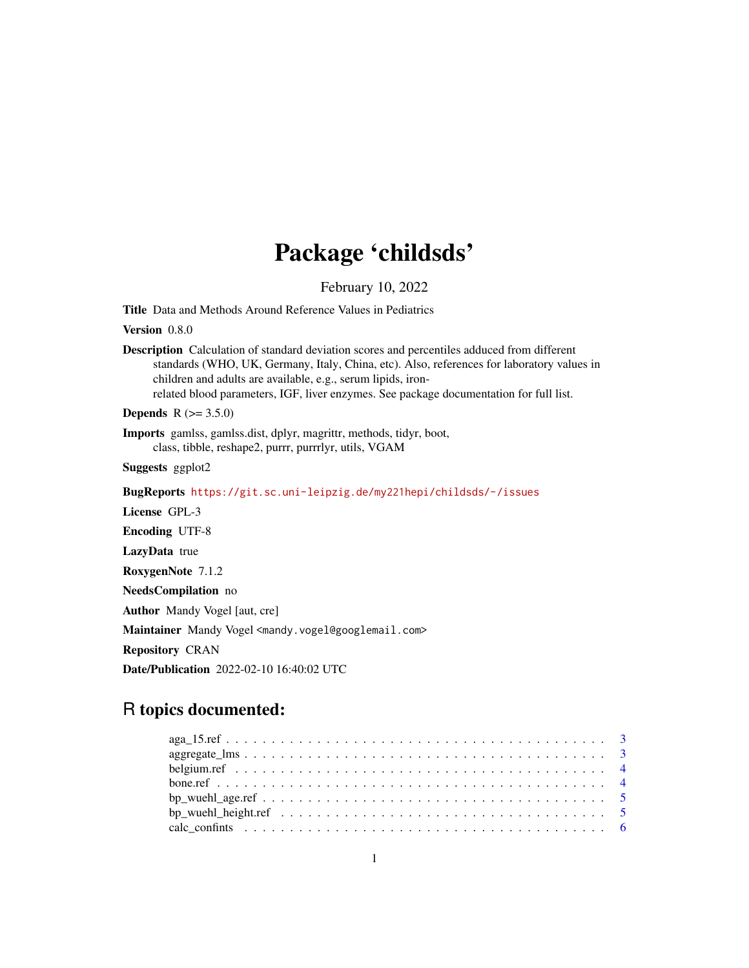# Package 'childsds'

February 10, 2022

<span id="page-0-0"></span>Title Data and Methods Around Reference Values in Pediatrics

Version 0.8.0

Description Calculation of standard deviation scores and percentiles adduced from different standards (WHO, UK, Germany, Italy, China, etc). Also, references for laboratory values in children and adults are available, e.g., serum lipids, ironrelated blood parameters, IGF, liver enzymes. See package documentation for full list.

**Depends**  $R (= 3.5.0)$ 

Imports gamlss, gamlss.dist, dplyr, magrittr, methods, tidyr, boot, class, tibble, reshape2, purrr, purrrlyr, utils, VGAM

Suggests ggplot2

BugReports <https://git.sc.uni-leipzig.de/my221hepi/childsds/-/issues>

License GPL-3

Encoding UTF-8

LazyData true

RoxygenNote 7.1.2

NeedsCompilation no

Author Mandy Vogel [aut, cre]

Maintainer Mandy Vogel <mandy.vogel@googlemail.com>

Repository CRAN

Date/Publication 2022-02-10 16:40:02 UTC

# R topics documented: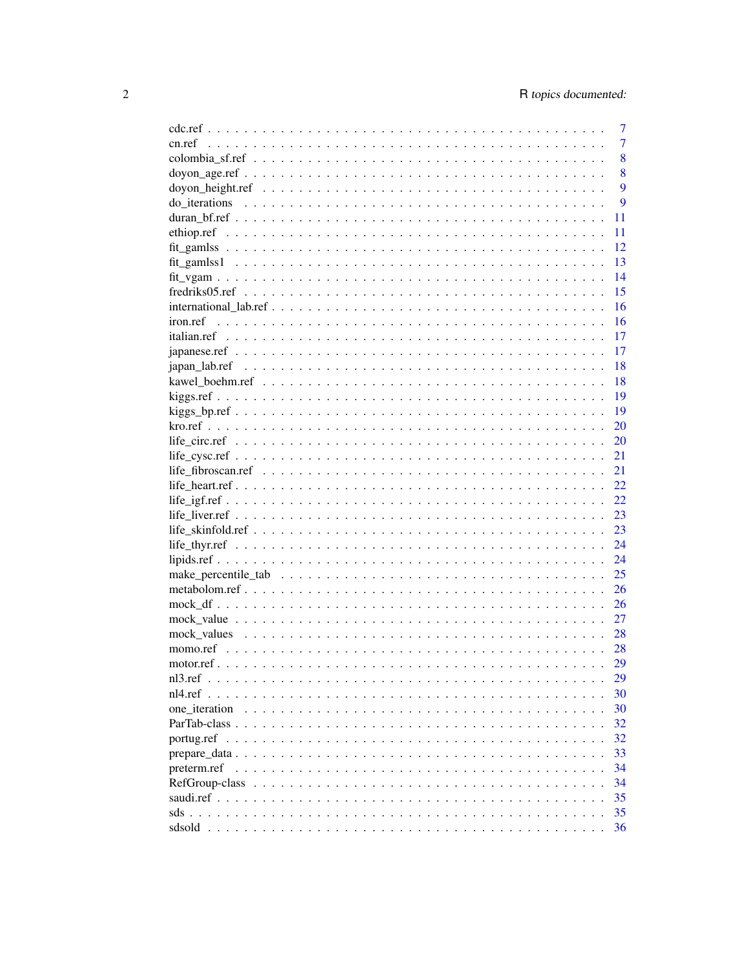|                                                     | 7  |
|-----------------------------------------------------|----|
| cn.ref                                              | 7  |
|                                                     | 8  |
|                                                     | 8  |
|                                                     | 9  |
|                                                     | 9  |
|                                                     | 11 |
|                                                     | 11 |
|                                                     | 12 |
|                                                     | 13 |
|                                                     | 14 |
|                                                     | 15 |
|                                                     | 16 |
| iron.ref                                            | 16 |
|                                                     | 17 |
|                                                     |    |
|                                                     | 17 |
|                                                     | 18 |
|                                                     | 18 |
|                                                     | 19 |
|                                                     | 19 |
|                                                     | 20 |
|                                                     | 20 |
|                                                     | 21 |
|                                                     | 21 |
|                                                     | 22 |
|                                                     | 22 |
|                                                     | 23 |
|                                                     | 23 |
|                                                     | 24 |
|                                                     | 24 |
|                                                     | 25 |
|                                                     | 26 |
|                                                     | 26 |
|                                                     | 27 |
|                                                     | 28 |
|                                                     | 28 |
|                                                     | 29 |
|                                                     |    |
|                                                     | 29 |
| nl4.ref<br><u>and a straight and a straight and</u> | 30 |
| one iteration                                       | 30 |
|                                                     | 32 |
|                                                     | 32 |
|                                                     | 33 |
| preterm.ref                                         | 34 |
| RefGroup-class                                      | 34 |
|                                                     | 35 |
|                                                     | 35 |
|                                                     | 36 |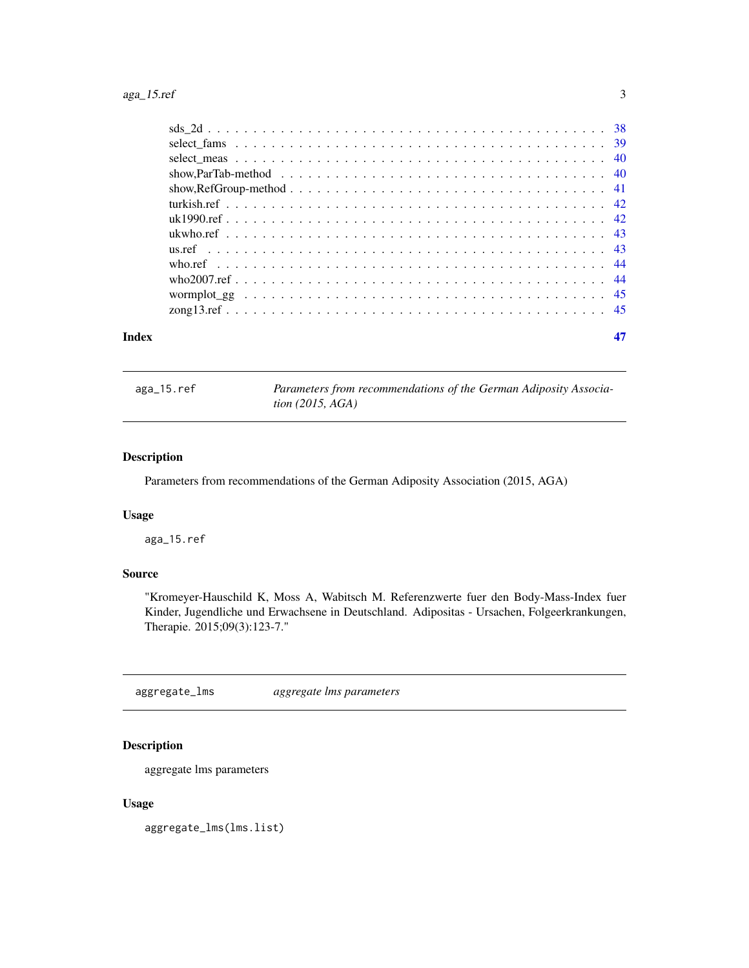# <span id="page-2-0"></span>aga\_15.ref 3

| Index |  |  |  |  |  |  |  |  |  |  |  |  |  |  |  |  |
|-------|--|--|--|--|--|--|--|--|--|--|--|--|--|--|--|--|
|       |  |  |  |  |  |  |  |  |  |  |  |  |  |  |  |  |
|       |  |  |  |  |  |  |  |  |  |  |  |  |  |  |  |  |
|       |  |  |  |  |  |  |  |  |  |  |  |  |  |  |  |  |
|       |  |  |  |  |  |  |  |  |  |  |  |  |  |  |  |  |
|       |  |  |  |  |  |  |  |  |  |  |  |  |  |  |  |  |
|       |  |  |  |  |  |  |  |  |  |  |  |  |  |  |  |  |
|       |  |  |  |  |  |  |  |  |  |  |  |  |  |  |  |  |
|       |  |  |  |  |  |  |  |  |  |  |  |  |  |  |  |  |
|       |  |  |  |  |  |  |  |  |  |  |  |  |  |  |  |  |
|       |  |  |  |  |  |  |  |  |  |  |  |  |  |  |  |  |
|       |  |  |  |  |  |  |  |  |  |  |  |  |  |  |  |  |
|       |  |  |  |  |  |  |  |  |  |  |  |  |  |  |  |  |
|       |  |  |  |  |  |  |  |  |  |  |  |  |  |  |  |  |
|       |  |  |  |  |  |  |  |  |  |  |  |  |  |  |  |  |

aga\_15.ref *Parameters from recommendations of the German Adiposity Association (2015, AGA)*

# Description

Parameters from recommendations of the German Adiposity Association (2015, AGA)

# Usage

aga\_15.ref

# Source

"Kromeyer-Hauschild K, Moss A, Wabitsch M. Referenzwerte fuer den Body-Mass-Index fuer Kinder, Jugendliche und Erwachsene in Deutschland. Adipositas - Ursachen, Folgeerkrankungen, Therapie. 2015;09(3):123-7."

aggregate\_lms *aggregate lms parameters*

# Description

aggregate lms parameters

#### Usage

aggregate\_lms(lms.list)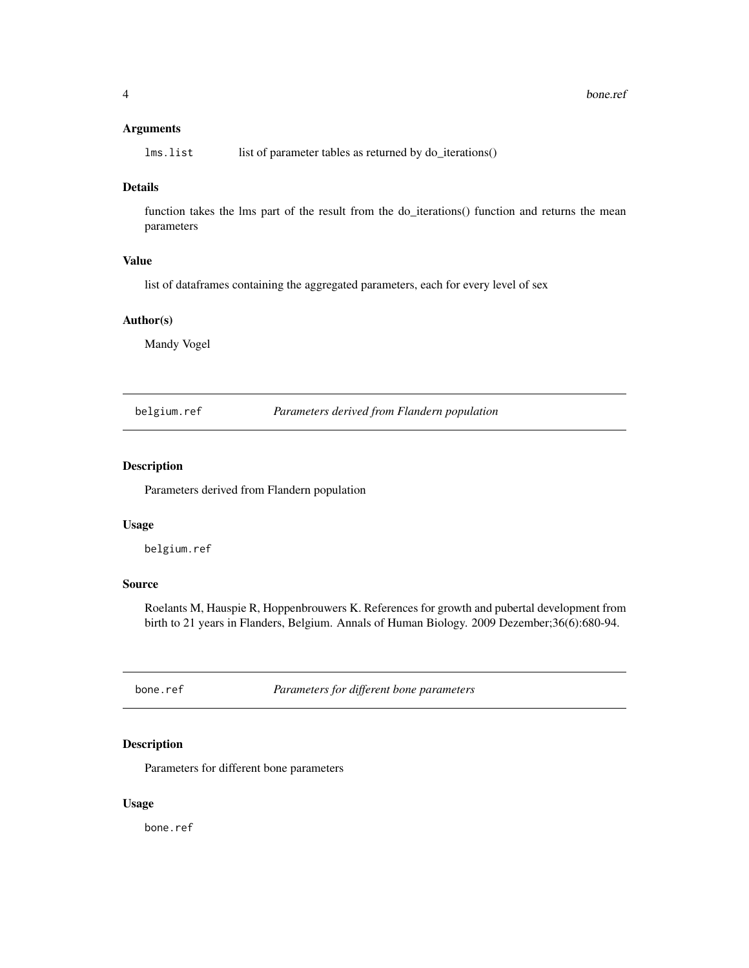# <span id="page-3-0"></span>Arguments

| lms.list |  | list of parameter tables as returned by do_iterations() |  |  |
|----------|--|---------------------------------------------------------|--|--|
|----------|--|---------------------------------------------------------|--|--|

# Details

function takes the lms part of the result from the do\_iterations() function and returns the mean parameters

# Value

list of dataframes containing the aggregated parameters, each for every level of sex

# Author(s)

Mandy Vogel

belgium.ref *Parameters derived from Flandern population*

# Description

Parameters derived from Flandern population

#### Usage

belgium.ref

# Source

Roelants M, Hauspie R, Hoppenbrouwers K. References for growth and pubertal development from birth to 21 years in Flanders, Belgium. Annals of Human Biology. 2009 Dezember;36(6):680-94.

bone.ref *Parameters for different bone parameters*

# Description

Parameters for different bone parameters

#### Usage

bone.ref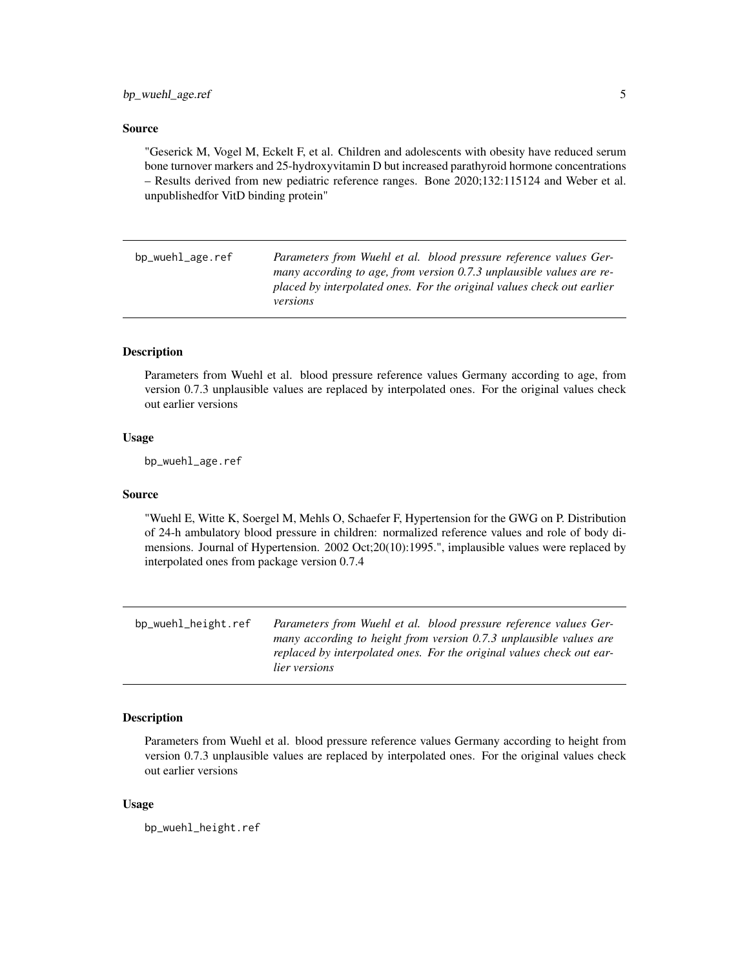#### <span id="page-4-0"></span>Source

"Geserick M, Vogel M, Eckelt F, et al. Children and adolescents with obesity have reduced serum bone turnover markers and 25-hydroxyvitamin D but increased parathyroid hormone concentrations – Results derived from new pediatric reference ranges. Bone 2020;132:115124 and Weber et al. unpublishedfor VitD binding protein"

bp\_wuehl\_age.ref *Parameters from Wuehl et al. blood pressure reference values Germany according to age, from version 0.7.3 unplausible values are replaced by interpolated ones. For the original values check out earlier versions*

# **Description**

Parameters from Wuehl et al. blood pressure reference values Germany according to age, from version 0.7.3 unplausible values are replaced by interpolated ones. For the original values check out earlier versions

# Usage

bp\_wuehl\_age.ref

#### Source

"Wuehl E, Witte K, Soergel M, Mehls O, Schaefer F, Hypertension for the GWG on P. Distribution of 24-h ambulatory blood pressure in children: normalized reference values and role of body dimensions. Journal of Hypertension. 2002 Oct;20(10):1995.", implausible values were replaced by interpolated ones from package version 0.7.4

bp\_wuehl\_height.ref *Parameters from Wuehl et al. blood pressure reference values Germany according to height from version 0.7.3 unplausible values are replaced by interpolated ones. For the original values check out earlier versions*

# Description

Parameters from Wuehl et al. blood pressure reference values Germany according to height from version 0.7.3 unplausible values are replaced by interpolated ones. For the original values check out earlier versions

#### Usage

bp\_wuehl\_height.ref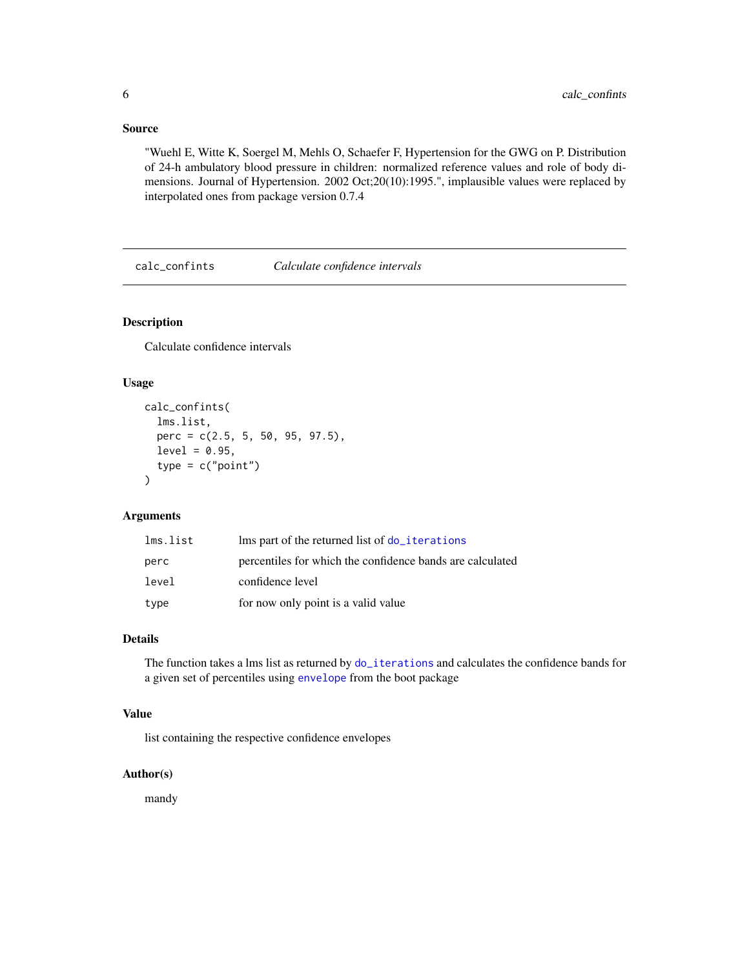# <span id="page-5-0"></span>Source

"Wuehl E, Witte K, Soergel M, Mehls O, Schaefer F, Hypertension for the GWG on P. Distribution of 24-h ambulatory blood pressure in children: normalized reference values and role of body dimensions. Journal of Hypertension. 2002 Oct;20(10):1995.", implausible values were replaced by interpolated ones from package version 0.7.4

calc\_confints *Calculate confidence intervals*

# Description

Calculate confidence intervals

# Usage

```
calc_confints(
  lms.list,
 perc = c(2.5, 5, 50, 95, 97.5),
  level = 0.95,type = c("point")\lambda
```
# Arguments

| lms.list | lms part of the returned list of do_iterations            |
|----------|-----------------------------------------------------------|
| perc     | percentiles for which the confidence bands are calculated |
| level    | confidence level                                          |
| type     | for now only point is a valid value                       |

# Details

The function takes a lms list as returned by [do\\_iterations](#page-8-1) and calculates the confidence bands for a given set of percentiles using [envelope](#page-0-0) from the boot package

# Value

list containing the respective confidence envelopes

#### Author(s)

mandy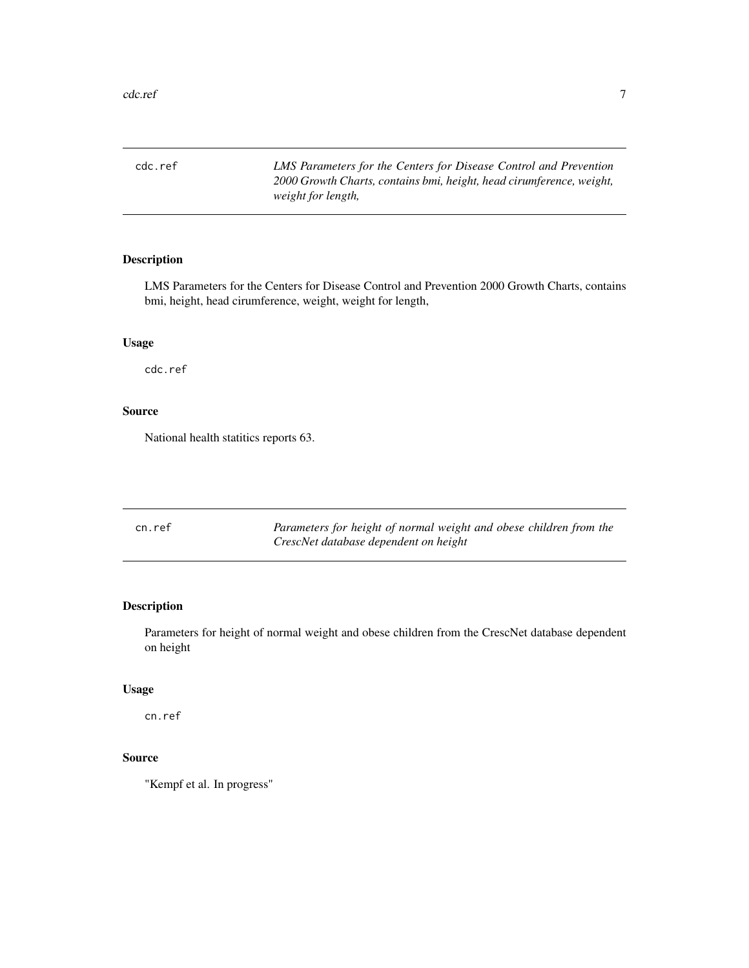<span id="page-6-0"></span>cdc.ref *LMS Parameters for the Centers for Disease Control and Prevention 2000 Growth Charts, contains bmi, height, head cirumference, weight, weight for length,*

# Description

LMS Parameters for the Centers for Disease Control and Prevention 2000 Growth Charts, contains bmi, height, head cirumference, weight, weight for length,

# Usage

cdc.ref

# Source

National health statitics reports 63.

| cn.ref | Parameters for height of normal weight and obese children from the |
|--------|--------------------------------------------------------------------|
|        | CrescNet database dependent on height                              |

# Description

Parameters for height of normal weight and obese children from the CrescNet database dependent on height

# Usage

cn.ref

# Source

"Kempf et al. In progress"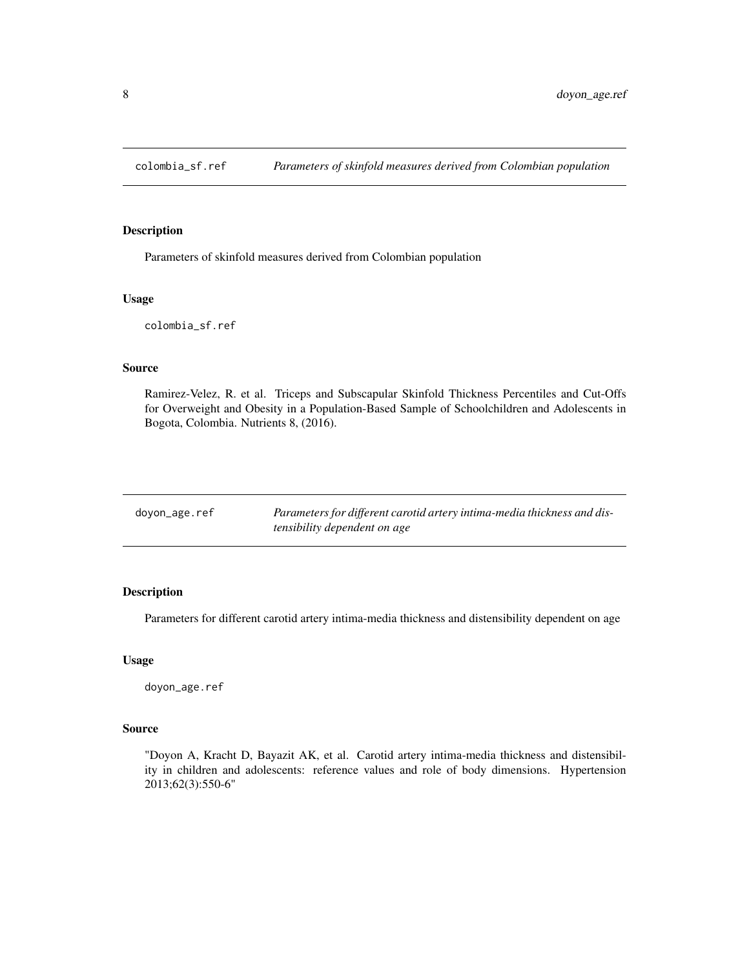<span id="page-7-0"></span>

Parameters of skinfold measures derived from Colombian population

#### Usage

colombia\_sf.ref

#### Source

Ramirez-Velez, R. et al. Triceps and Subscapular Skinfold Thickness Percentiles and Cut-Offs for Overweight and Obesity in a Population-Based Sample of Schoolchildren and Adolescents in Bogota, Colombia. Nutrients 8, (2016).

| doyon_age.ref | Parameters for different carotid artery intima-media thickness and dis- |
|---------------|-------------------------------------------------------------------------|
|               | tensibility dependent on age                                            |

# Description

Parameters for different carotid artery intima-media thickness and distensibility dependent on age

#### Usage

doyon\_age.ref

#### Source

"Doyon A, Kracht D, Bayazit AK, et al. Carotid artery intima-media thickness and distensibility in children and adolescents: reference values and role of body dimensions. Hypertension 2013;62(3):550-6"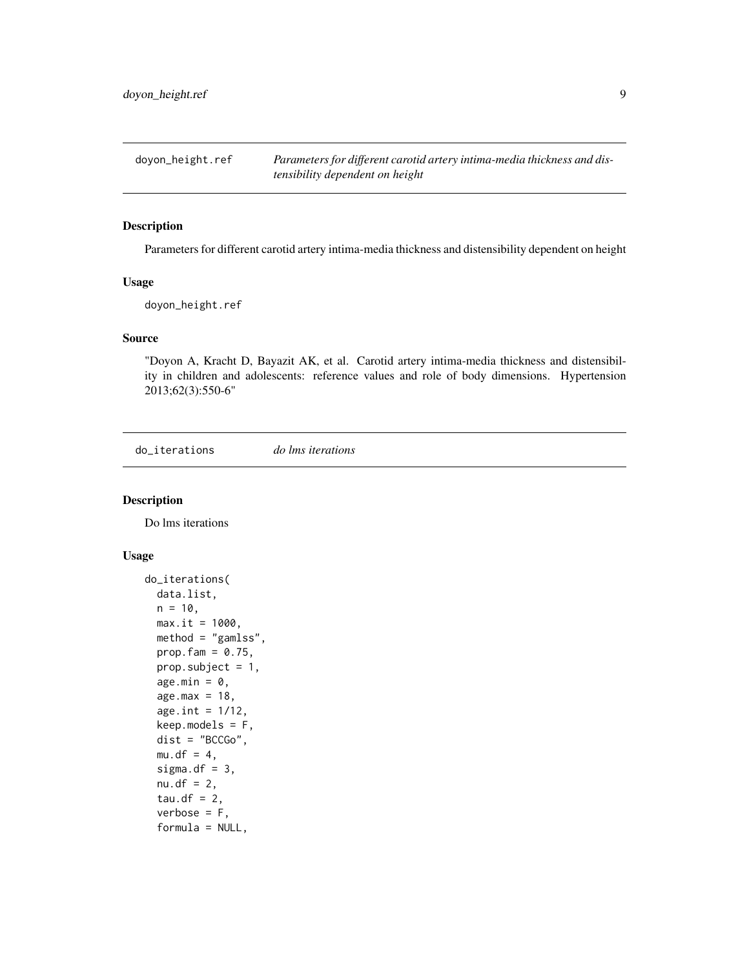<span id="page-8-0"></span>doyon\_height.ref *Parameters for different carotid artery intima-media thickness and distensibility dependent on height*

#### Description

Parameters for different carotid artery intima-media thickness and distensibility dependent on height

# Usage

doyon\_height.ref

#### Source

"Doyon A, Kracht D, Bayazit AK, et al. Carotid artery intima-media thickness and distensibility in children and adolescents: reference values and role of body dimensions. Hypertension 2013;62(3):550-6"

<span id="page-8-1"></span>do\_iterations *do lms iterations*

# Description

Do lms iterations

#### Usage

```
do_iterations(
  data.list,
 n = 10,
 max.it = 1000,method = "gamlss",
 prop.fam = 0.75,
 prop.subject = 1,age.min = 0,
  age.max = 18,
  age.int = 1/12,keep.modes = F,dist = "BCCGo",
 mu.df = 4,
  sigma.df = 3,
  nu. df = 2,tau.df = 2,
  verbose = F,
  formula = NULL,
```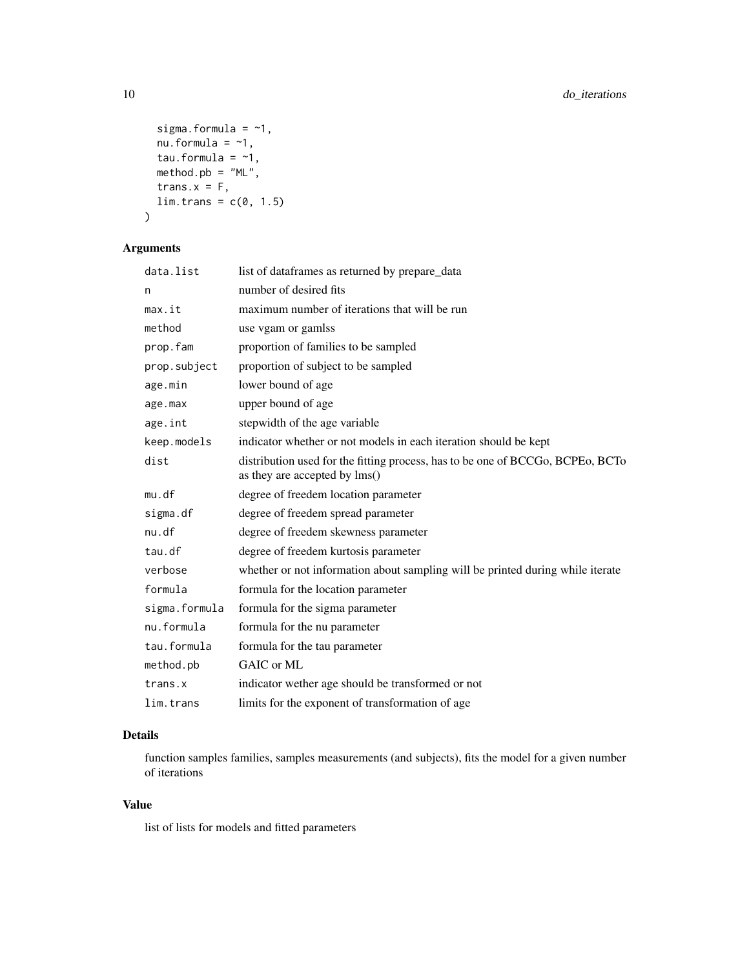```
sigma.formula = -1,
 nu.formula = -1,
 tau.formula = -1,
 method.pb = "ML",trans.x = F,
 lim.trans = c(0, 1.5)\mathcal{L}
```
# Arguments

| data.list     | list of dataframes as returned by prepare_data                                                                  |
|---------------|-----------------------------------------------------------------------------------------------------------------|
| n             | number of desired fits                                                                                          |
| max.it        | maximum number of iterations that will be run                                                                   |
| method        | use vgam or gamlss                                                                                              |
| prop.fam      | proportion of families to be sampled                                                                            |
| prop.subject  | proportion of subject to be sampled                                                                             |
| age.min       | lower bound of age                                                                                              |
| age.max       | upper bound of age                                                                                              |
| age.int       | stepwidth of the age variable                                                                                   |
| keep.models   | indicator whether or not models in each iteration should be kept                                                |
| dist          | distribution used for the fitting process, has to be one of BCCGo, BCPEo, BCTo<br>as they are accepted by lms() |
| mu.df         | degree of freedem location parameter                                                                            |
| sigma.df      | degree of freedem spread parameter                                                                              |
| nu.df         | degree of freedem skewness parameter                                                                            |
| tau.df        | degree of freedem kurtosis parameter                                                                            |
| verbose       | whether or not information about sampling will be printed during while iterate                                  |
| formula       | formula for the location parameter                                                                              |
| sigma.formula | formula for the sigma parameter                                                                                 |
| nu.formula    | formula for the nu parameter                                                                                    |
| tau.formula   | formula for the tau parameter                                                                                   |
| method.pb     | GAIC or ML                                                                                                      |
| trans.x       | indicator wether age should be transformed or not                                                               |
| lim.trans     | limits for the exponent of transformation of age                                                                |

# Details

function samples families, samples measurements (and subjects), fits the model for a given number of iterations

# Value

list of lists for models and fitted parameters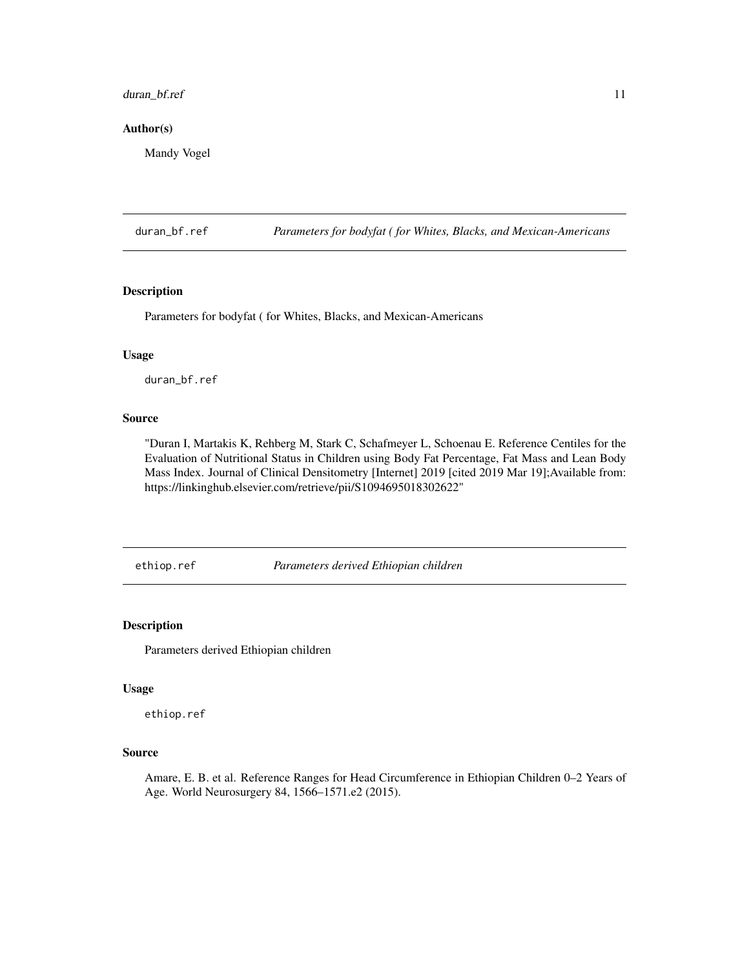# <span id="page-10-0"></span>duran\_bf.ref 11

# Author(s)

Mandy Vogel

duran\_bf.ref *Parameters for bodyfat ( for Whites, Blacks, and Mexican-Americans*

#### Description

Parameters for bodyfat ( for Whites, Blacks, and Mexican-Americans

# Usage

duran\_bf.ref

#### Source

"Duran I, Martakis K, Rehberg M, Stark C, Schafmeyer L, Schoenau E. Reference Centiles for the Evaluation of Nutritional Status in Children using Body Fat Percentage, Fat Mass and Lean Body Mass Index. Journal of Clinical Densitometry [Internet] 2019 [cited 2019 Mar 19]; Available from: https://linkinghub.elsevier.com/retrieve/pii/S1094695018302622"

ethiop.ref *Parameters derived Ethiopian children*

# Description

Parameters derived Ethiopian children

#### Usage

ethiop.ref

# Source

Amare, E. B. et al. Reference Ranges for Head Circumference in Ethiopian Children 0–2 Years of Age. World Neurosurgery 84, 1566–1571.e2 (2015).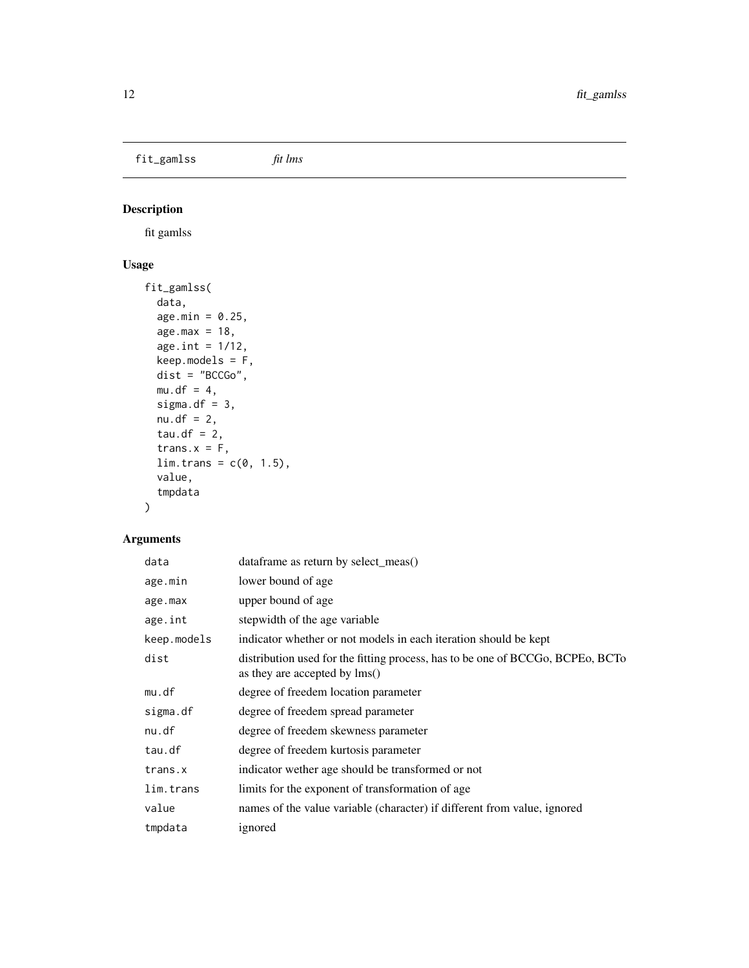<span id="page-11-0"></span>fit\_gamlss *fit lms*

# Description

fit gamlss

# Usage

```
fit_gamlss(
  data,
  age.min = 0.25,
 age.max = 18,
  age.int = 1/12,keep.models = F,
 dist = "BCCGo",
 mu.df = 4,
 sigma.df = 3,
 nu.df = 2,
  tau.df = 2,
  trans.x = F,
  lim. trans = c(0, 1.5),value,
  tmpdata
)
```

| data        | dataframe as return by select_meas()                                                                            |
|-------------|-----------------------------------------------------------------------------------------------------------------|
| age.min     | lower bound of age                                                                                              |
| age.max     | upper bound of age                                                                                              |
| age.int     | stepwidth of the age variable                                                                                   |
| keep.models | indicator whether or not models in each iteration should be kept                                                |
| dist        | distribution used for the fitting process, has to be one of BCCGo, BCPEo, BCTo<br>as they are accepted by lms() |
| mu.df       | degree of freedem location parameter                                                                            |
| sigma.df    | degree of freedem spread parameter                                                                              |
| nu.df       | degree of freedem skewness parameter                                                                            |
| tau.df      | degree of freedem kurtosis parameter                                                                            |
| trans.x     | indicator wether age should be transformed or not                                                               |
| lim.trans   | limits for the exponent of transformation of age.                                                               |
| value       | names of the value variable (character) if different from value, ignored                                        |
| tmpdata     | ignored                                                                                                         |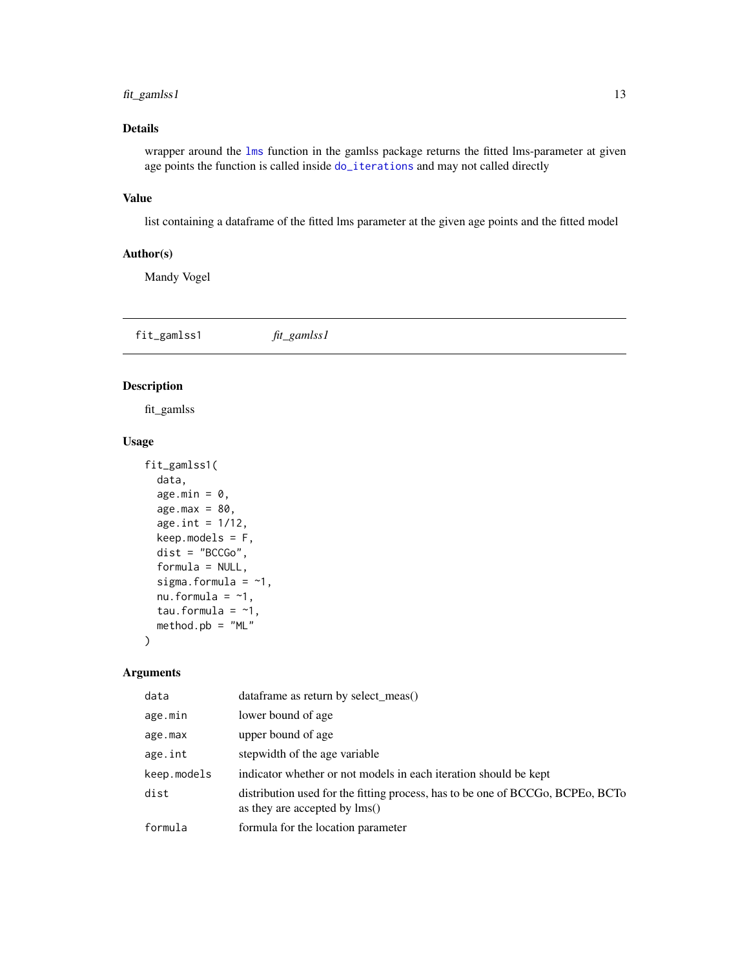# <span id="page-12-0"></span>fit\_gamlss1 13

# Details

wrapper around the [lms](#page-0-0) function in the gamlss package returns the fitted lms-parameter at given age points the function is called inside [do\\_iterations](#page-8-1) and may not called directly

# Value

list containing a dataframe of the fitted lms parameter at the given age points and the fitted model

#### Author(s)

Mandy Vogel

fit\_gamlss1 *fit\_gamlss1*

#### Description

fit\_gamlss

#### Usage

```
fit_gamlss1(
 data,
  age.min = 0,
  age.max = 80,
  age.int = 1/12,keep.modes = F,dist = "BCCGo",formula = NULL,
  sigma.formula = -1,
  nu.formula = -1,
  tau.formula = -1,
 method.pb = "ML")
```

| data        | dataframe as return by select_meas()                                                                            |
|-------------|-----------------------------------------------------------------------------------------------------------------|
| age.min     | lower bound of age.                                                                                             |
| age.max     | upper bound of age                                                                                              |
| age.int     | stepwidth of the age variable                                                                                   |
| keep.models | indicator whether or not models in each iteration should be kept                                                |
| dist        | distribution used for the fitting process, has to be one of BCCGo, BCPEo, BCTo<br>as they are accepted by lms() |
| formula     | formula for the location parameter                                                                              |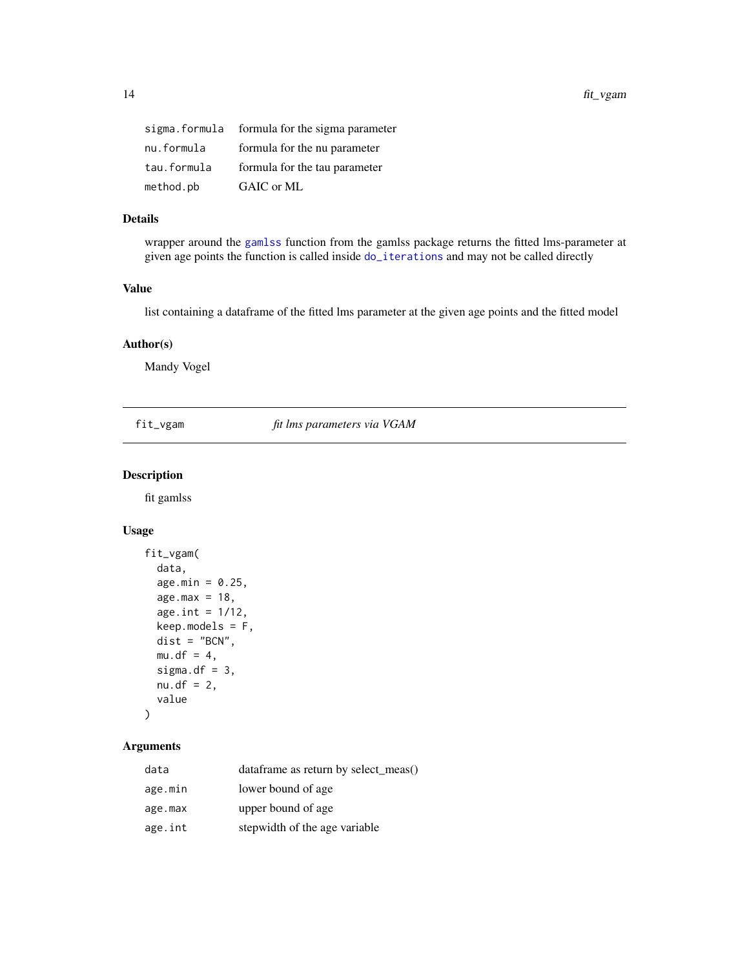<span id="page-13-0"></span>

| sigma.formula | formula for the sigma parameter |
|---------------|---------------------------------|
| nu.formula    | formula for the nu parameter    |
| tau.formula   | formula for the tau parameter   |
| method.pb     | GAIC or ML                      |

# Details

wrapper around the [gamlss](#page-0-0) function from the gamlss package returns the fitted lms-parameter at given age points the function is called inside [do\\_iterations](#page-8-1) and may not be called directly

# Value

list containing a dataframe of the fitted lms parameter at the given age points and the fitted model

# Author(s)

Mandy Vogel

fit\_vgam *fit lms parameters via VGAM*

# Description

fit gamlss

# Usage

```
fit_vgam(
  data,
  age.min = 0.25,age.max = 18,
  age.int = 1/12,
 keep.modes = F,dist = "BCN",
 mu.df = 4,
  sigma.df = 3,
  nu. df = 2,value
\mathcal{L}
```

| data    | dataframe as return by select_meas() |
|---------|--------------------------------------|
| age.min | lower bound of age                   |
| age.max | upper bound of age                   |
| age.int | stepwidth of the age variable        |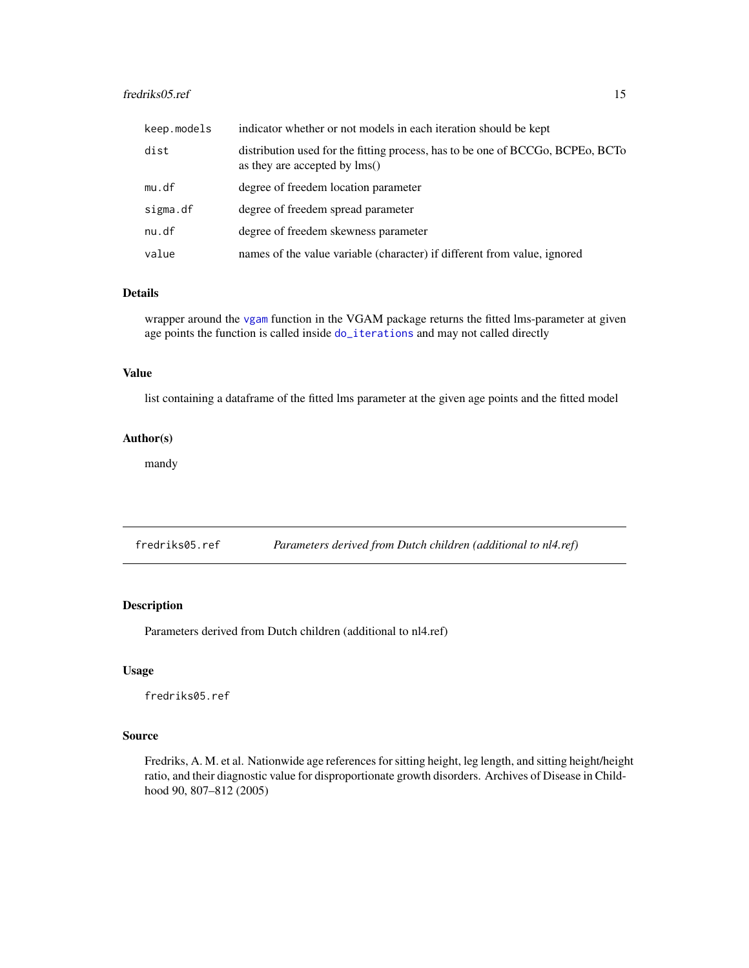# <span id="page-14-0"></span>fredriks05.ref 15

| keep.models | indicator whether or not models in each iteration should be kept                                                |
|-------------|-----------------------------------------------------------------------------------------------------------------|
| dist        | distribution used for the fitting process, has to be one of BCCGo, BCPEo, BCTo<br>as they are accepted by lms() |
| mu.df       | degree of freedem location parameter                                                                            |
| sigma.df    | degree of freedem spread parameter                                                                              |
| nu.df       | degree of freedem skewness parameter                                                                            |
| value       | names of the value variable (character) if different from value, ignored                                        |

# Details

wrapper around the [vgam](#page-0-0) function in the VGAM package returns the fitted lms-parameter at given age points the function is called inside [do\\_iterations](#page-8-1) and may not called directly

# Value

list containing a dataframe of the fitted lms parameter at the given age points and the fitted model

# Author(s)

mandy

fredriks05.ref *Parameters derived from Dutch children (additional to nl4.ref)*

# Description

Parameters derived from Dutch children (additional to nl4.ref)

#### Usage

fredriks05.ref

#### Source

Fredriks, A. M. et al. Nationwide age references for sitting height, leg length, and sitting height/height ratio, and their diagnostic value for disproportionate growth disorders. Archives of Disease in Childhood 90, 807–812 (2005)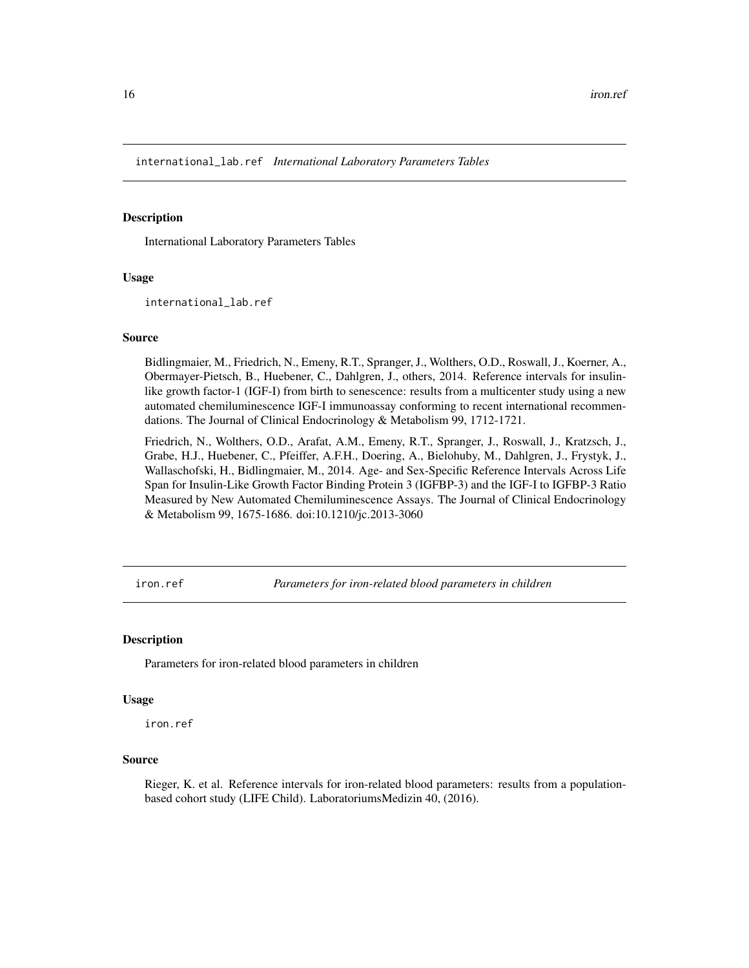<span id="page-15-0"></span>international\_lab.ref *International Laboratory Parameters Tables*

#### **Description**

International Laboratory Parameters Tables

#### Usage

international\_lab.ref

#### Source

Bidlingmaier, M., Friedrich, N., Emeny, R.T., Spranger, J., Wolthers, O.D., Roswall, J., Koerner, A., Obermayer-Pietsch, B., Huebener, C., Dahlgren, J., others, 2014. Reference intervals for insulinlike growth factor-1 (IGF-I) from birth to senescence: results from a multicenter study using a new automated chemiluminescence IGF-I immunoassay conforming to recent international recommendations. The Journal of Clinical Endocrinology & Metabolism 99, 1712-1721.

Friedrich, N., Wolthers, O.D., Arafat, A.M., Emeny, R.T., Spranger, J., Roswall, J., Kratzsch, J., Grabe, H.J., Huebener, C., Pfeiffer, A.F.H., Doering, A., Bielohuby, M., Dahlgren, J., Frystyk, J., Wallaschofski, H., Bidlingmaier, M., 2014. Age- and Sex-Specific Reference Intervals Across Life Span for Insulin-Like Growth Factor Binding Protein 3 (IGFBP-3) and the IGF-I to IGFBP-3 Ratio Measured by New Automated Chemiluminescence Assays. The Journal of Clinical Endocrinology & Metabolism 99, 1675-1686. doi:10.1210/jc.2013-3060

iron.ref *Parameters for iron-related blood parameters in children*

#### Description

Parameters for iron-related blood parameters in children

#### Usage

iron.ref

# Source

Rieger, K. et al. Reference intervals for iron-related blood parameters: results from a populationbased cohort study (LIFE Child). LaboratoriumsMedizin 40, (2016).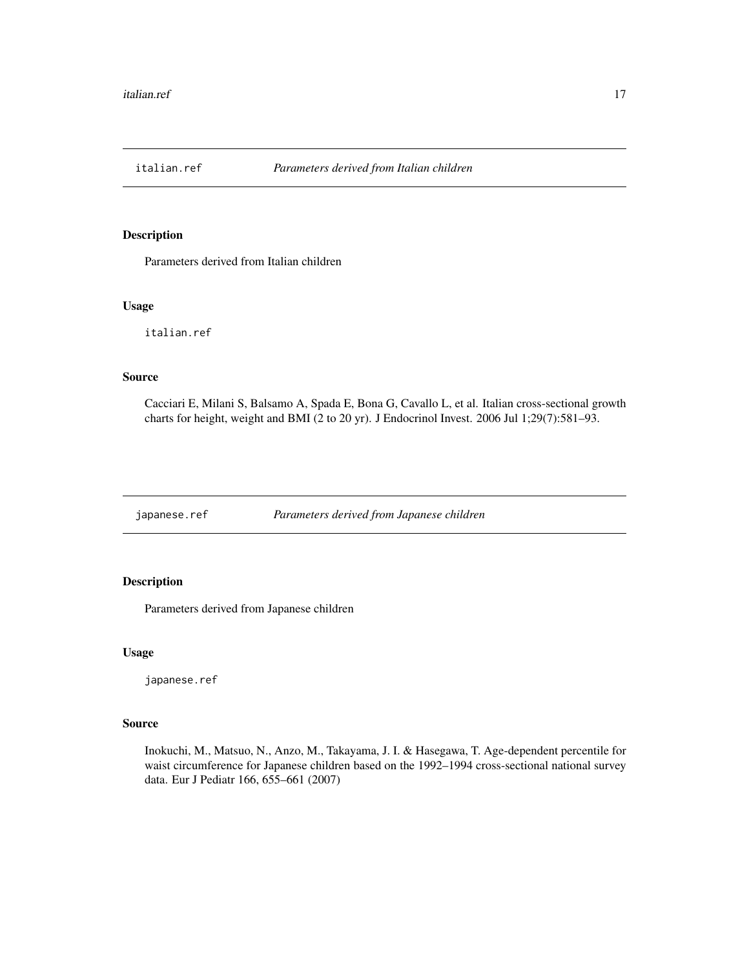<span id="page-16-0"></span>

Parameters derived from Italian children

#### Usage

italian.ref

#### Source

Cacciari E, Milani S, Balsamo A, Spada E, Bona G, Cavallo L, et al. Italian cross-sectional growth charts for height, weight and BMI (2 to 20 yr). J Endocrinol Invest. 2006 Jul 1;29(7):581–93.

japanese.ref *Parameters derived from Japanese children*

# Description

Parameters derived from Japanese children

# Usage

japanese.ref

# Source

Inokuchi, M., Matsuo, N., Anzo, M., Takayama, J. I. & Hasegawa, T. Age-dependent percentile for waist circumference for Japanese children based on the 1992–1994 cross-sectional national survey data. Eur J Pediatr 166, 655–661 (2007)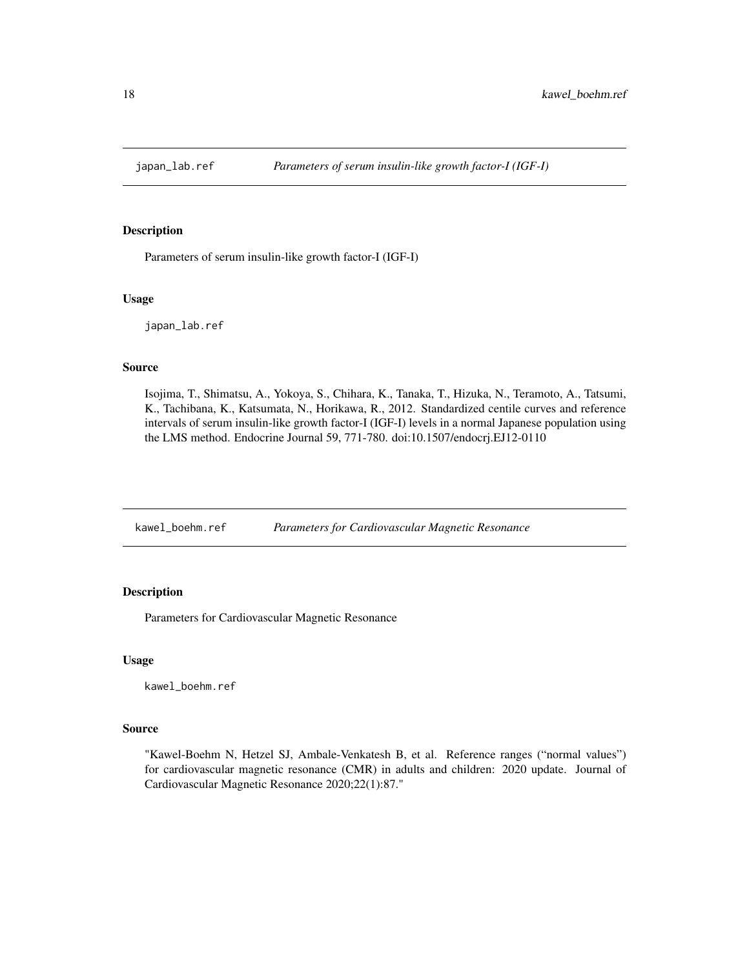<span id="page-17-0"></span>

Parameters of serum insulin-like growth factor-I (IGF-I)

#### Usage

japan\_lab.ref

#### Source

Isojima, T., Shimatsu, A., Yokoya, S., Chihara, K., Tanaka, T., Hizuka, N., Teramoto, A., Tatsumi, K., Tachibana, K., Katsumata, N., Horikawa, R., 2012. Standardized centile curves and reference intervals of serum insulin-like growth factor-I (IGF-I) levels in a normal Japanese population using the LMS method. Endocrine Journal 59, 771-780. doi:10.1507/endocrj.EJ12-0110

kawel\_boehm.ref *Parameters for Cardiovascular Magnetic Resonance*

# Description

Parameters for Cardiovascular Magnetic Resonance

#### Usage

kawel\_boehm.ref

#### Source

"Kawel-Boehm N, Hetzel SJ, Ambale-Venkatesh B, et al. Reference ranges ("normal values") for cardiovascular magnetic resonance (CMR) in adults and children: 2020 update. Journal of Cardiovascular Magnetic Resonance 2020;22(1):87."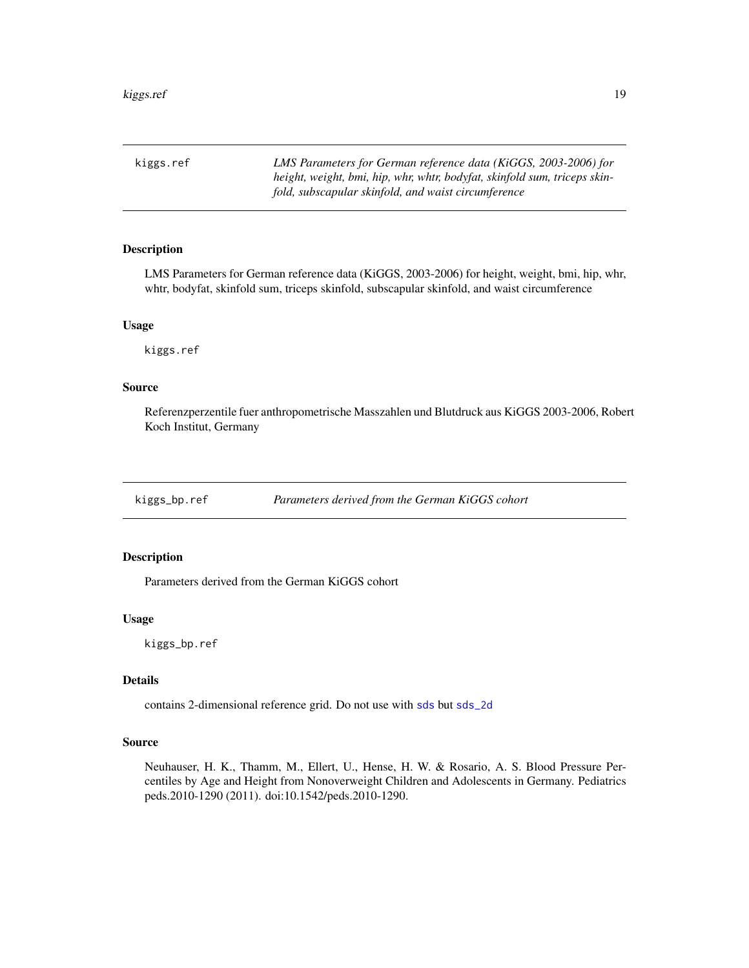<span id="page-18-0"></span>kiggs.ref *LMS Parameters for German reference data (KiGGS, 2003-2006) for height, weight, bmi, hip, whr, whtr, bodyfat, skinfold sum, triceps skinfold, subscapular skinfold, and waist circumference*

# Description

LMS Parameters for German reference data (KiGGS, 2003-2006) for height, weight, bmi, hip, whr, whtr, bodyfat, skinfold sum, triceps skinfold, subscapular skinfold, and waist circumference

#### Usage

kiggs.ref

#### Source

Referenzperzentile fuer anthropometrische Masszahlen und Blutdruck aus KiGGS 2003-2006, Robert Koch Institut, Germany

kiggs\_bp.ref *Parameters derived from the German KiGGS cohort*

# Description

Parameters derived from the German KiGGS cohort

#### Usage

kiggs\_bp.ref

# Details

contains 2-dimensional reference grid. Do not use with [sds](#page-34-1) but [sds\\_2d](#page-37-1)

#### Source

Neuhauser, H. K., Thamm, M., Ellert, U., Hense, H. W. & Rosario, A. S. Blood Pressure Percentiles by Age and Height from Nonoverweight Children and Adolescents in Germany. Pediatrics peds.2010-1290 (2011). doi:10.1542/peds.2010-1290.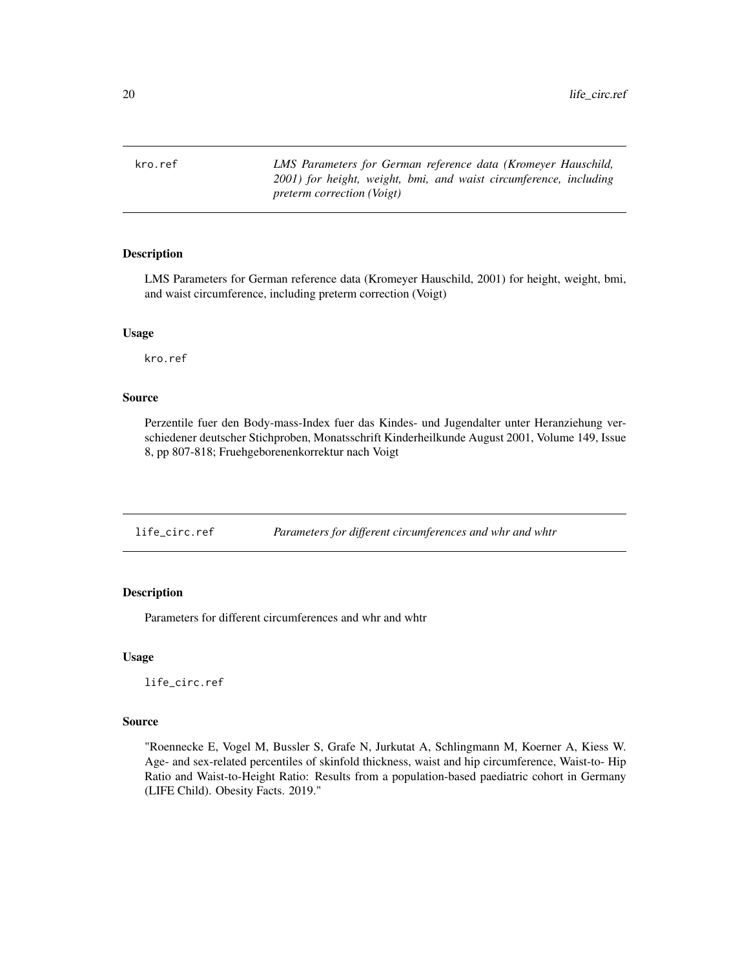<span id="page-19-0"></span>kro.ref *LMS Parameters for German reference data (Kromeyer Hauschild, 2001) for height, weight, bmi, and waist circumference, including preterm correction (Voigt)*

#### Description

LMS Parameters for German reference data (Kromeyer Hauschild, 2001) for height, weight, bmi, and waist circumference, including preterm correction (Voigt)

#### Usage

kro.ref

# Source

Perzentile fuer den Body-mass-Index fuer das Kindes- und Jugendalter unter Heranziehung verschiedener deutscher Stichproben, Monatsschrift Kinderheilkunde August 2001, Volume 149, Issue 8, pp 807-818; Fruehgeborenenkorrektur nach Voigt

life\_circ.ref *Parameters for different circumferences and whr and whtr*

# Description

Parameters for different circumferences and whr and whtr

#### Usage

life\_circ.ref

#### Source

"Roennecke E, Vogel M, Bussler S, Grafe N, Jurkutat A, Schlingmann M, Koerner A, Kiess W. Age- and sex-related percentiles of skinfold thickness, waist and hip circumference, Waist-to- Hip Ratio and Waist-to-Height Ratio: Results from a population-based paediatric cohort in Germany (LIFE Child). Obesity Facts. 2019."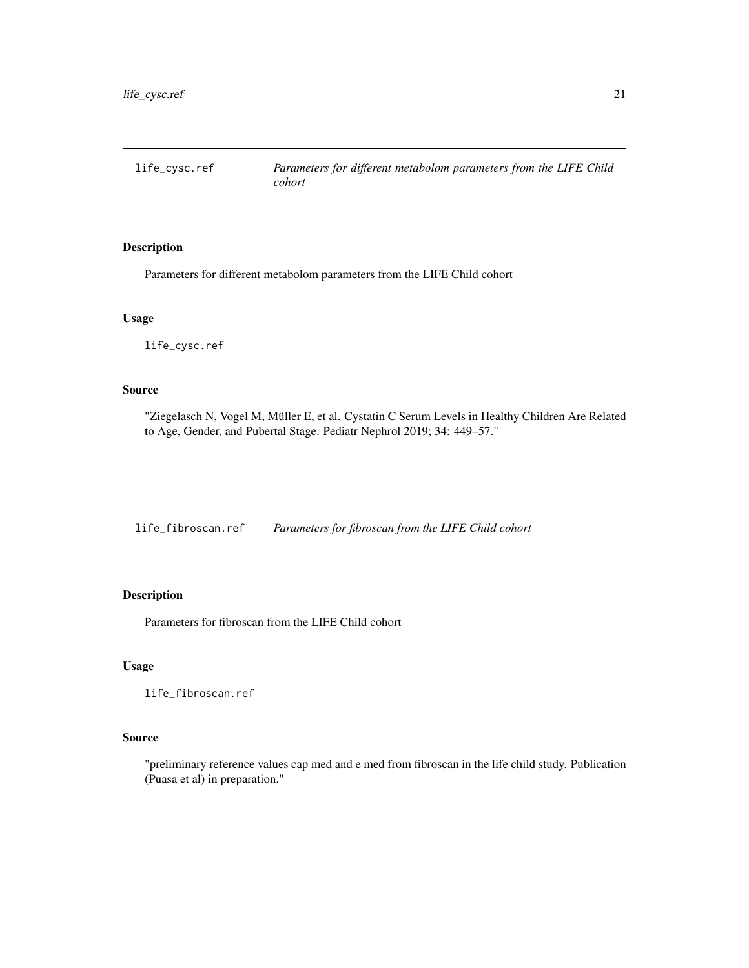<span id="page-20-0"></span>life\_cysc.ref *Parameters for different metabolom parameters from the LIFE Child cohort*

# Description

Parameters for different metabolom parameters from the LIFE Child cohort

# Usage

life\_cysc.ref

# Source

"Ziegelasch N, Vogel M, Müller E, et al. Cystatin C Serum Levels in Healthy Children Are Related to Age, Gender, and Pubertal Stage. Pediatr Nephrol 2019; 34: 449–57."

life\_fibroscan.ref *Parameters for fibroscan from the LIFE Child cohort*

# Description

Parameters for fibroscan from the LIFE Child cohort

# Usage

life\_fibroscan.ref

#### Source

"preliminary reference values cap med and e med from fibroscan in the life child study. Publication (Puasa et al) in preparation."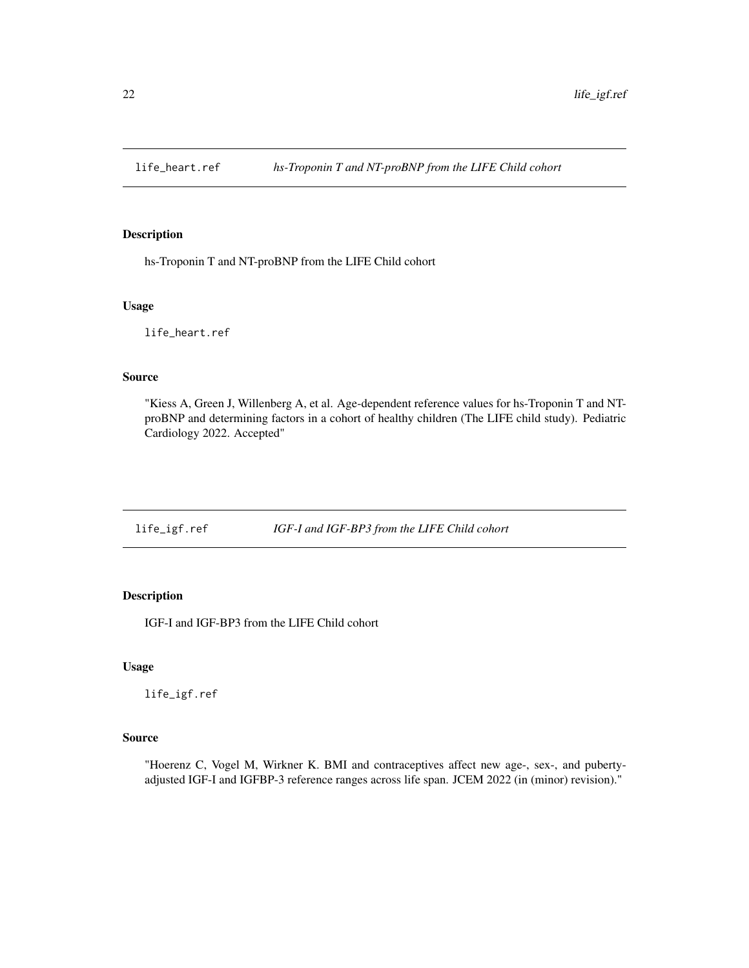<span id="page-21-0"></span>

hs-Troponin T and NT-proBNP from the LIFE Child cohort

#### Usage

life\_heart.ref

# Source

"Kiess A, Green J, Willenberg A, et al. Age-dependent reference values for hs-Troponin T and NTproBNP and determining factors in a cohort of healthy children (The LIFE child study). Pediatric Cardiology 2022. Accepted"

life\_igf.ref *IGF-I and IGF-BP3 from the LIFE Child cohort*

# **Description**

IGF-I and IGF-BP3 from the LIFE Child cohort

# Usage

life\_igf.ref

#### Source

"Hoerenz C, Vogel M, Wirkner K. BMI and contraceptives affect new age-, sex-, and pubertyadjusted IGF-I and IGFBP-3 reference ranges across life span. JCEM 2022 (in (minor) revision)."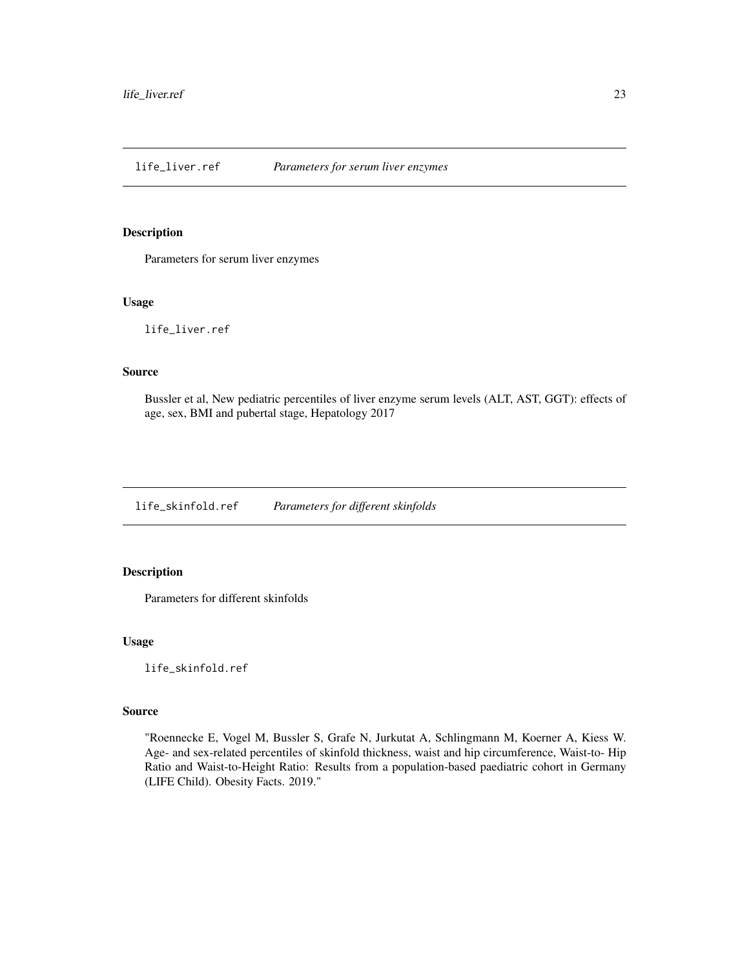<span id="page-22-0"></span>life\_liver.ref *Parameters for serum liver enzymes*

#### Description

Parameters for serum liver enzymes

# Usage

life\_liver.ref

# Source

Bussler et al, New pediatric percentiles of liver enzyme serum levels (ALT, AST, GGT): effects of age, sex, BMI and pubertal stage, Hepatology 2017

life\_skinfold.ref *Parameters for different skinfolds*

# Description

Parameters for different skinfolds

#### Usage

life\_skinfold.ref

#### Source

"Roennecke E, Vogel M, Bussler S, Grafe N, Jurkutat A, Schlingmann M, Koerner A, Kiess W. Age- and sex-related percentiles of skinfold thickness, waist and hip circumference, Waist-to- Hip Ratio and Waist-to-Height Ratio: Results from a population-based paediatric cohort in Germany (LIFE Child). Obesity Facts. 2019."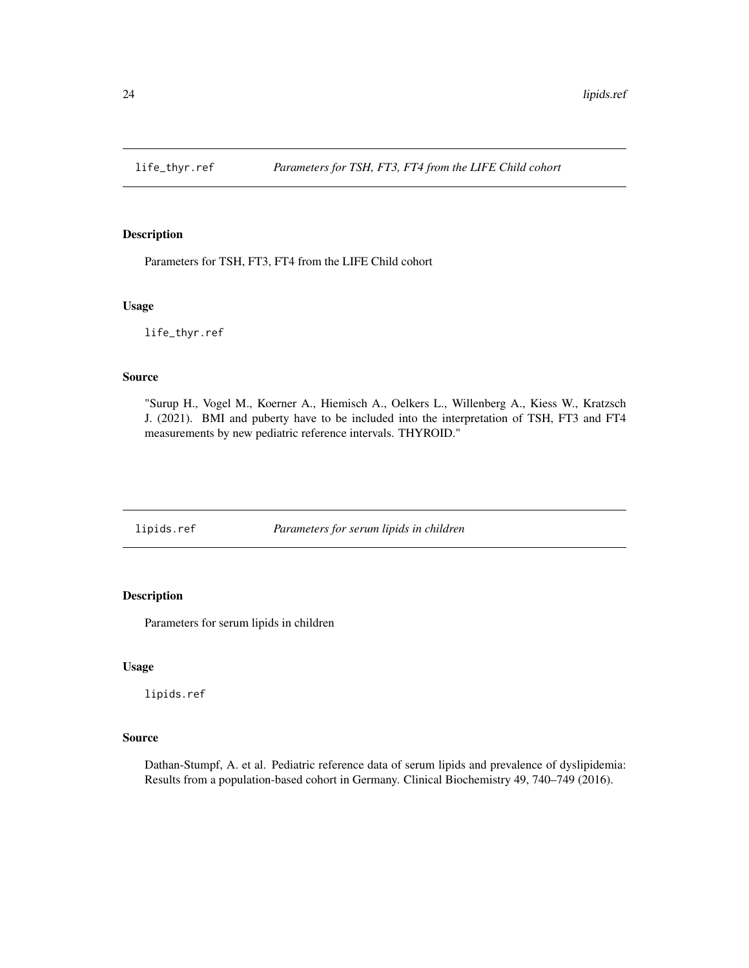<span id="page-23-0"></span>

Parameters for TSH, FT3, FT4 from the LIFE Child cohort

#### Usage

life\_thyr.ref

#### Source

"Surup H., Vogel M., Koerner A., Hiemisch A., Oelkers L., Willenberg A., Kiess W., Kratzsch J. (2021). BMI and puberty have to be included into the interpretation of TSH, FT3 and FT4 measurements by new pediatric reference intervals. THYROID."

lipids.ref *Parameters for serum lipids in children*

# Description

Parameters for serum lipids in children

#### Usage

lipids.ref

#### Source

Dathan-Stumpf, A. et al. Pediatric reference data of serum lipids and prevalence of dyslipidemia: Results from a population-based cohort in Germany. Clinical Biochemistry 49, 740–749 (2016).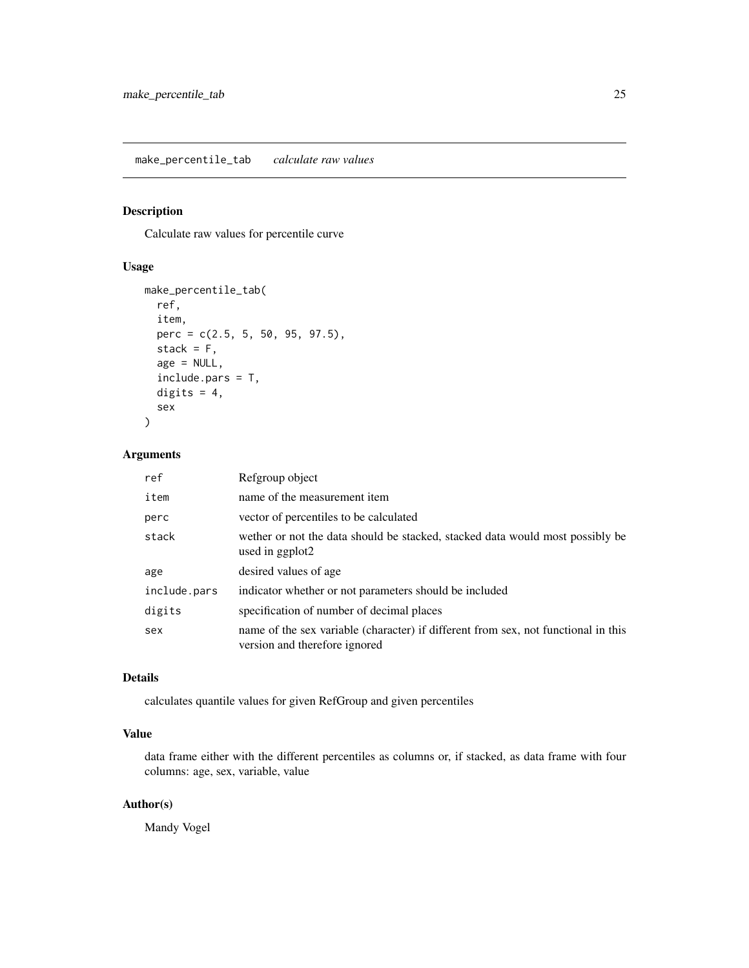<span id="page-24-0"></span>Calculate raw values for percentile curve

#### Usage

```
make_percentile_tab(
  ref,
  item,
 perc = c(2.5, 5, 50, 95, 97.5),
  stack = F,age = NULL,
  include.pars = T,
 digits = 4,
  sex
)
```
# Arguments

| ref          | Refgroup object                                                                                                     |
|--------------|---------------------------------------------------------------------------------------------------------------------|
| item         | name of the measurement item                                                                                        |
| perc         | vector of percentiles to be calculated                                                                              |
| stack        | wether or not the data should be stacked, stacked data would most possibly be<br>used in ggplot2                    |
| age          | desired values of age                                                                                               |
| include.pars | indicator whether or not parameters should be included                                                              |
| digits       | specification of number of decimal places                                                                           |
| sex          | name of the sex variable (character) if different from sex, not functional in this<br>version and therefore ignored |

# Details

calculates quantile values for given RefGroup and given percentiles

# Value

data frame either with the different percentiles as columns or, if stacked, as data frame with four columns: age, sex, variable, value

# Author(s)

Mandy Vogel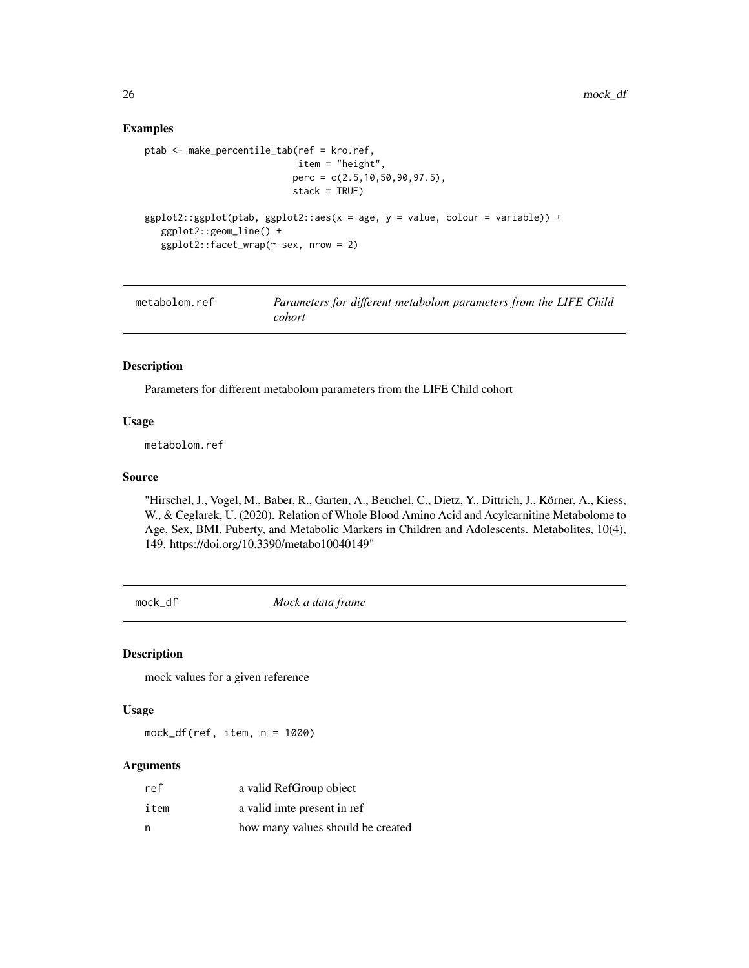#### Examples

```
ptab <- make_percentile_tab(ref = kro.ref,
                            item = "height",
                           perc = c(2.5, 10, 50, 90, 97.5),
                           stack = TRUE)
ggplot2::ggplot(ptab, ggplot2::aes(x = age, y = value, colour = variable)) +ggplot2::geom_line() +
   ggplot2::facet_wrap(\sim sex, nrow = 2)
```

| metabolom.ref | Parameters for different metabolom parameters from the LIFE Child |
|---------------|-------------------------------------------------------------------|
|               | cohort                                                            |

#### Description

Parameters for different metabolom parameters from the LIFE Child cohort

#### Usage

metabolom.ref

#### Source

"Hirschel, J., Vogel, M., Baber, R., Garten, A., Beuchel, C., Dietz, Y., Dittrich, J., Körner, A., Kiess, W., & Ceglarek, U. (2020). Relation of Whole Blood Amino Acid and Acylcarnitine Metabolome to Age, Sex, BMI, Puberty, and Metabolic Markers in Children and Adolescents. Metabolites, 10(4), 149. https://doi.org/10.3390/metabo10040149"

mock\_df *Mock a data frame*

#### Description

mock values for a given reference

#### Usage

mock\_df(ref, item, n = 1000)

| ref  | a valid RefGroup object           |
|------|-----------------------------------|
| item | a valid imte present in ref       |
| n    | how many values should be created |

<span id="page-25-0"></span>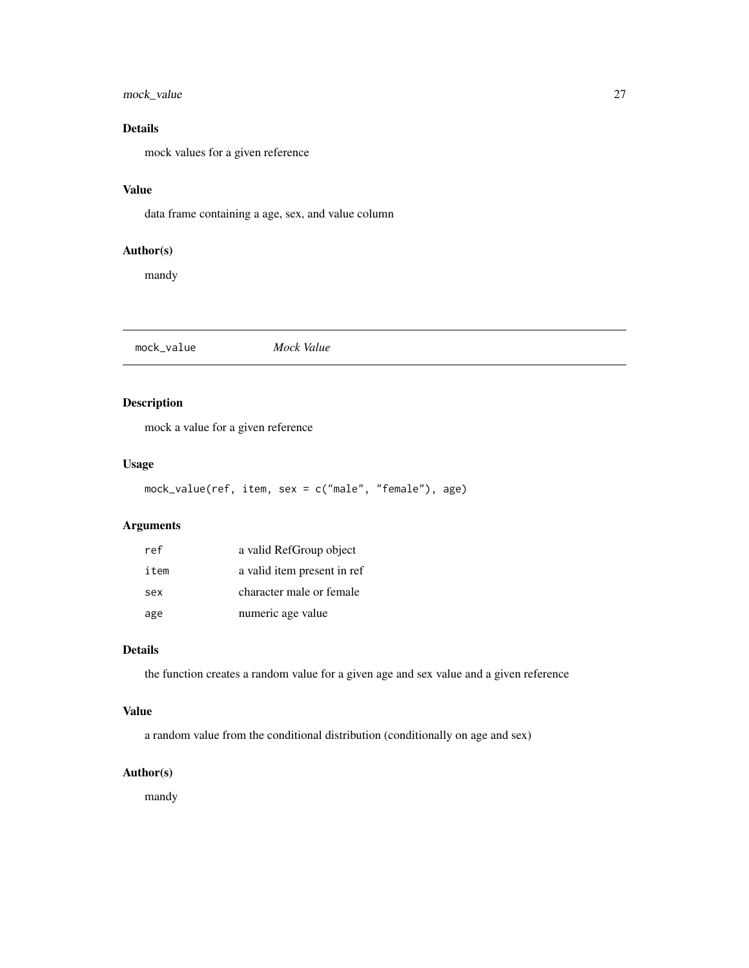# <span id="page-26-0"></span>mock\_value 27

# Details

mock values for a given reference

# Value

data frame containing a age, sex, and value column

# Author(s)

mandy

mock\_value *Mock Value*

# Description

mock a value for a given reference

# Usage

```
mock_value(ref, item, sex = c("male", "female"), age)
```
# Arguments

| ref  | a valid RefGroup object     |
|------|-----------------------------|
| item | a valid item present in ref |
| sex  | character male or female    |
| age  | numeric age value           |

# Details

the function creates a random value for a given age and sex value and a given reference

# Value

a random value from the conditional distribution (conditionally on age and sex)

# Author(s)

mandy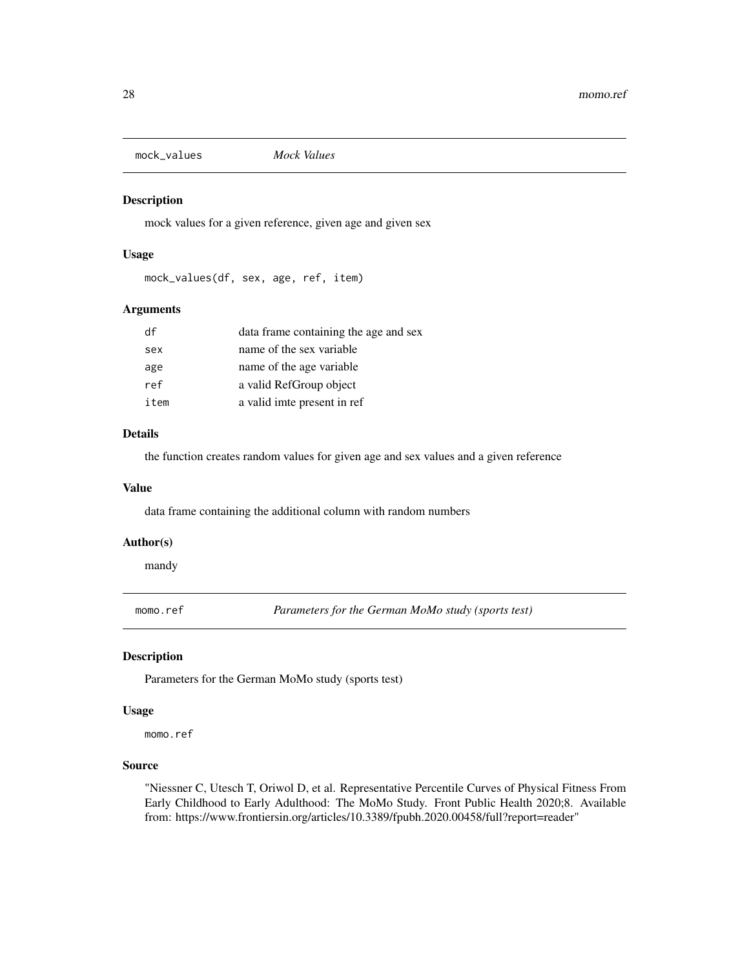<span id="page-27-0"></span>mock\_values *Mock Values*

# Description

mock values for a given reference, given age and given sex

#### Usage

mock\_values(df, sex, age, ref, item)

# Arguments

| df   | data frame containing the age and sex |
|------|---------------------------------------|
| sex  | name of the sex variable              |
| age  | name of the age variable              |
| ref  | a valid RefGroup object               |
| item | a valid imte present in ref           |

#### Details

the function creates random values for given age and sex values and a given reference

#### Value

data frame containing the additional column with random numbers

#### Author(s)

mandy

momo.ref *Parameters for the German MoMo study (sports test)*

#### Description

Parameters for the German MoMo study (sports test)

#### Usage

momo.ref

# Source

"Niessner C, Utesch T, Oriwol D, et al. Representative Percentile Curves of Physical Fitness From Early Childhood to Early Adulthood: The MoMo Study. Front Public Health 2020;8. Available from: https://www.frontiersin.org/articles/10.3389/fpubh.2020.00458/full?report=reader"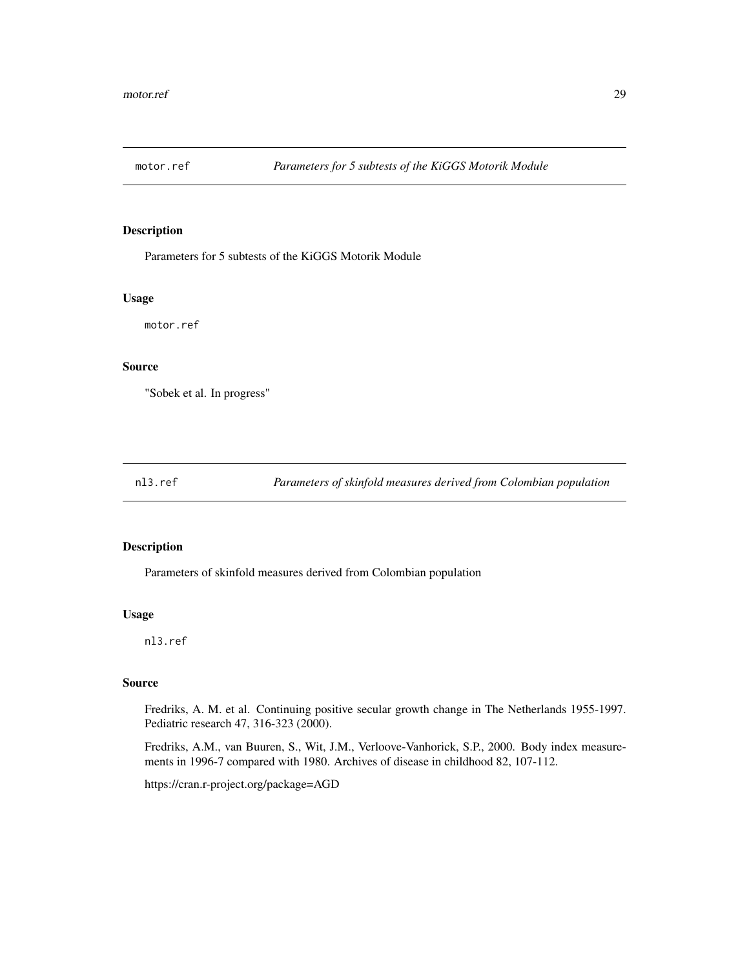<span id="page-28-0"></span>

Parameters for 5 subtests of the KiGGS Motorik Module

# Usage

motor.ref

#### Source

"Sobek et al. In progress"

nl3.ref *Parameters of skinfold measures derived from Colombian population*

#### Description

Parameters of skinfold measures derived from Colombian population

#### Usage

nl3.ref

# Source

Fredriks, A. M. et al. Continuing positive secular growth change in The Netherlands 1955-1997. Pediatric research 47, 316-323 (2000).

Fredriks, A.M., van Buuren, S., Wit, J.M., Verloove-Vanhorick, S.P., 2000. Body index measurements in 1996-7 compared with 1980. Archives of disease in childhood 82, 107-112.

https://cran.r-project.org/package=AGD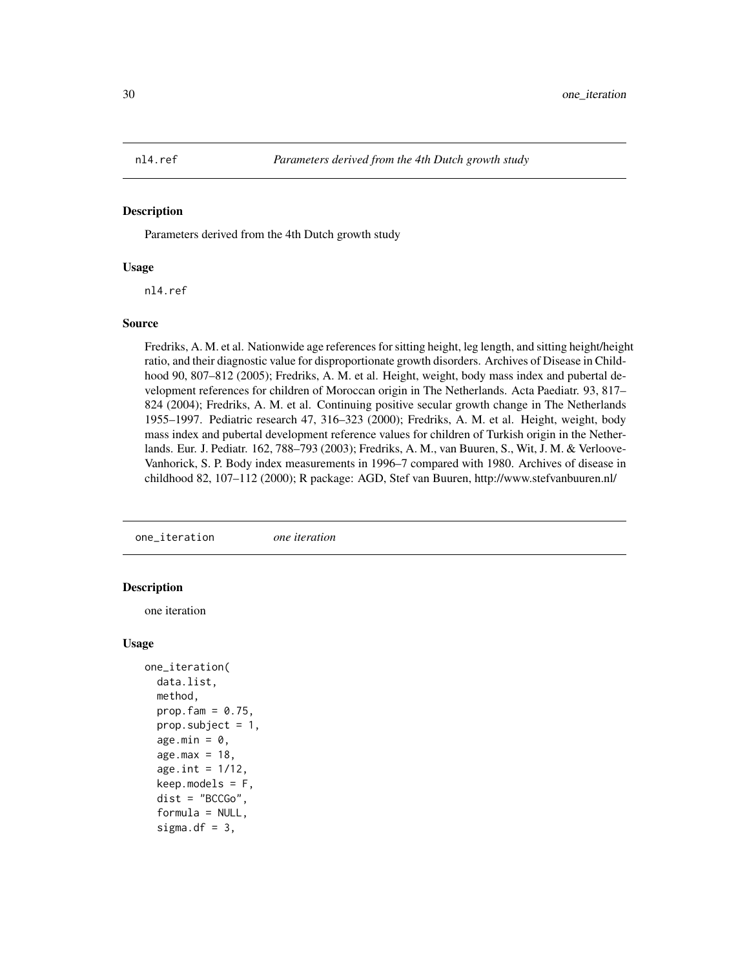<span id="page-29-0"></span>

Parameters derived from the 4th Dutch growth study

#### Usage

nl4.ref

#### Source

Fredriks, A. M. et al. Nationwide age references for sitting height, leg length, and sitting height/height ratio, and their diagnostic value for disproportionate growth disorders. Archives of Disease in Childhood 90, 807–812 (2005); Fredriks, A. M. et al. Height, weight, body mass index and pubertal development references for children of Moroccan origin in The Netherlands. Acta Paediatr. 93, 817– 824 (2004); Fredriks, A. M. et al. Continuing positive secular growth change in The Netherlands 1955–1997. Pediatric research 47, 316–323 (2000); Fredriks, A. M. et al. Height, weight, body mass index and pubertal development reference values for children of Turkish origin in the Netherlands. Eur. J. Pediatr. 162, 788–793 (2003); Fredriks, A. M., van Buuren, S., Wit, J. M. & Verloove-Vanhorick, S. P. Body index measurements in 1996–7 compared with 1980. Archives of disease in childhood 82, 107–112 (2000); R package: AGD, Stef van Buuren, http://www.stefvanbuuren.nl/

one\_iteration *one iteration*

#### **Description**

one iteration

#### Usage

```
one_iteration(
 data.list,
 method,
 prop.fam = 0.75,
 prop.subject = 1,age.min = 0,age.max = 18age.int = 1/12,keep.modes = F,
  dist = "BCCGo",formula = NULL,sigma.df = 3,
```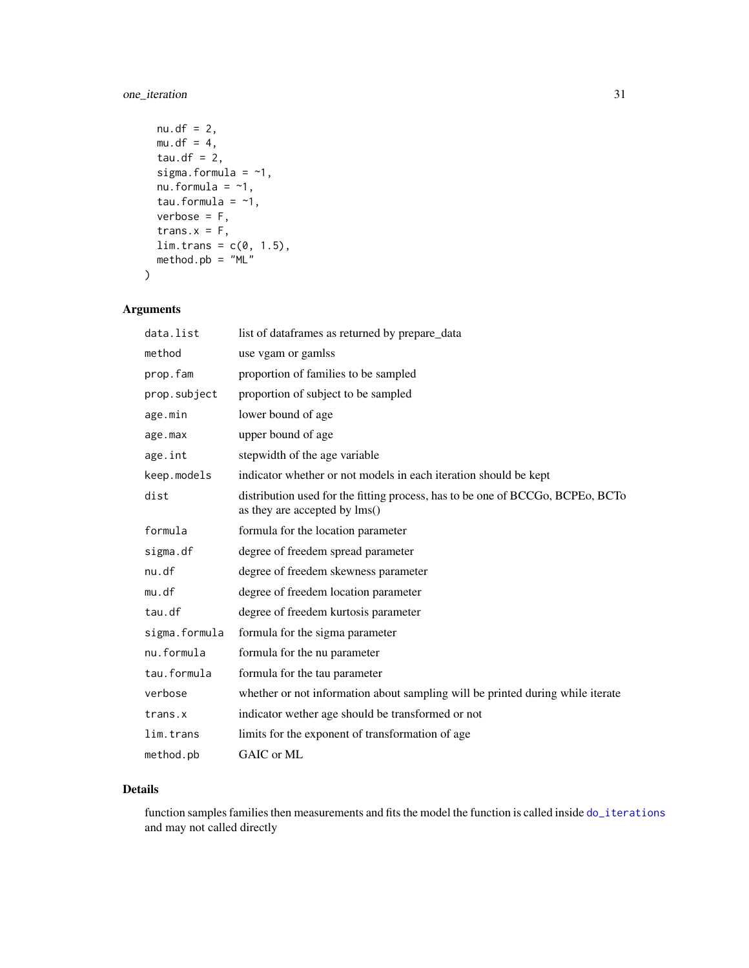# <span id="page-30-0"></span>one\_iteration 31

```
nu. df = 2,mu.df = 4,
 tau.df = 2,
 sigma.formula = -1,
 nu.formula = -1,
 tau.formula = -1,
 verbose = F,
  trans.x = F,
 lim. trans = c(0, 1.5),method.pb = "ML")
```
# Arguments

| data.list     | list of dataframes as returned by prepare_data                                                                  |
|---------------|-----------------------------------------------------------------------------------------------------------------|
| method        | use vgam or gamlss                                                                                              |
| prop.fam      | proportion of families to be sampled                                                                            |
| prop.subject  | proportion of subject to be sampled                                                                             |
| age.min       | lower bound of age                                                                                              |
| age.max       | upper bound of age                                                                                              |
| age.int       | stepwidth of the age variable                                                                                   |
| keep.models   | indicator whether or not models in each iteration should be kept                                                |
| dist          | distribution used for the fitting process, has to be one of BCCGo, BCPEo, BCTo<br>as they are accepted by lms() |
| formula       | formula for the location parameter                                                                              |
| sigma.df      | degree of freedem spread parameter                                                                              |
| nu.df         | degree of freedem skewness parameter                                                                            |
| mu.df         | degree of freedem location parameter                                                                            |
| tau.df        | degree of freedem kurtosis parameter                                                                            |
| sigma.formula | formula for the sigma parameter                                                                                 |
| nu.formula    | formula for the nu parameter                                                                                    |
| tau.formula   | formula for the tau parameter                                                                                   |
| verbose       | whether or not information about sampling will be printed during while iterate                                  |
| trans.x       | indicator wether age should be transformed or not                                                               |
| lim.trans     | limits for the exponent of transformation of age                                                                |
| method.pb     | GAIC or ML                                                                                                      |

# Details

function samples families then measurements and fits the model the function is called inside [do\\_iterations](#page-8-1) and may not called directly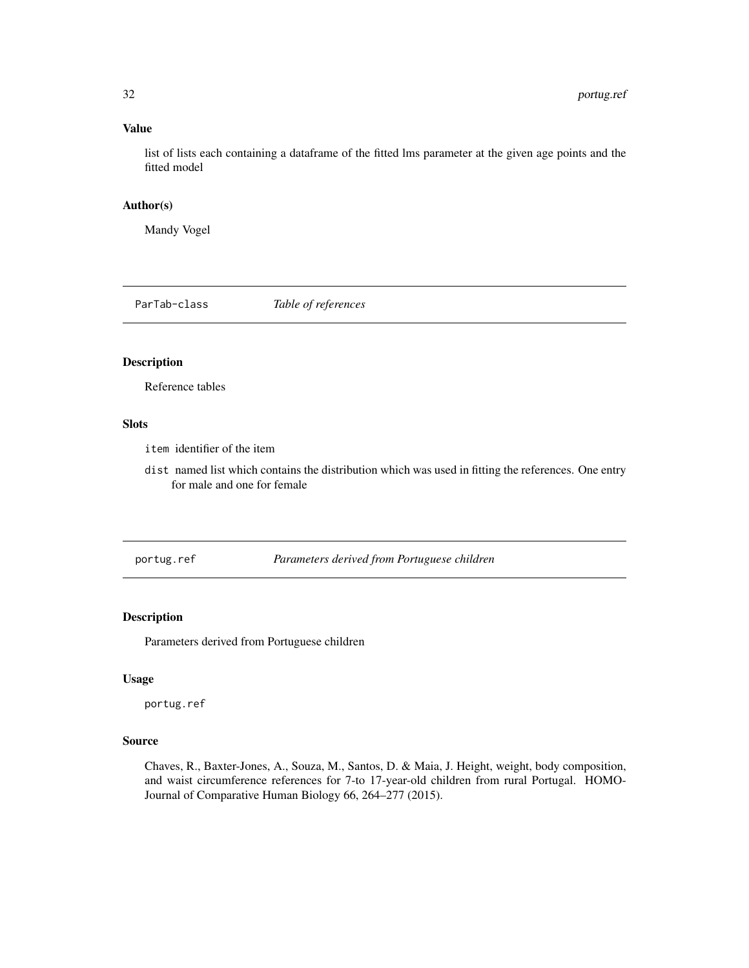# Value

list of lists each containing a dataframe of the fitted lms parameter at the given age points and the fitted model

# Author(s)

Mandy Vogel

ParTab-class *Table of references*

# Description

Reference tables

# Slots

item identifier of the item

dist named list which contains the distribution which was used in fitting the references. One entry for male and one for female

portug.ref *Parameters derived from Portuguese children*

#### Description

Parameters derived from Portuguese children

# Usage

portug.ref

#### Source

Chaves, R., Baxter-Jones, A., Souza, M., Santos, D. & Maia, J. Height, weight, body composition, and waist circumference references for 7-to 17-year-old children from rural Portugal. HOMO-Journal of Comparative Human Biology 66, 264–277 (2015).

<span id="page-31-0"></span>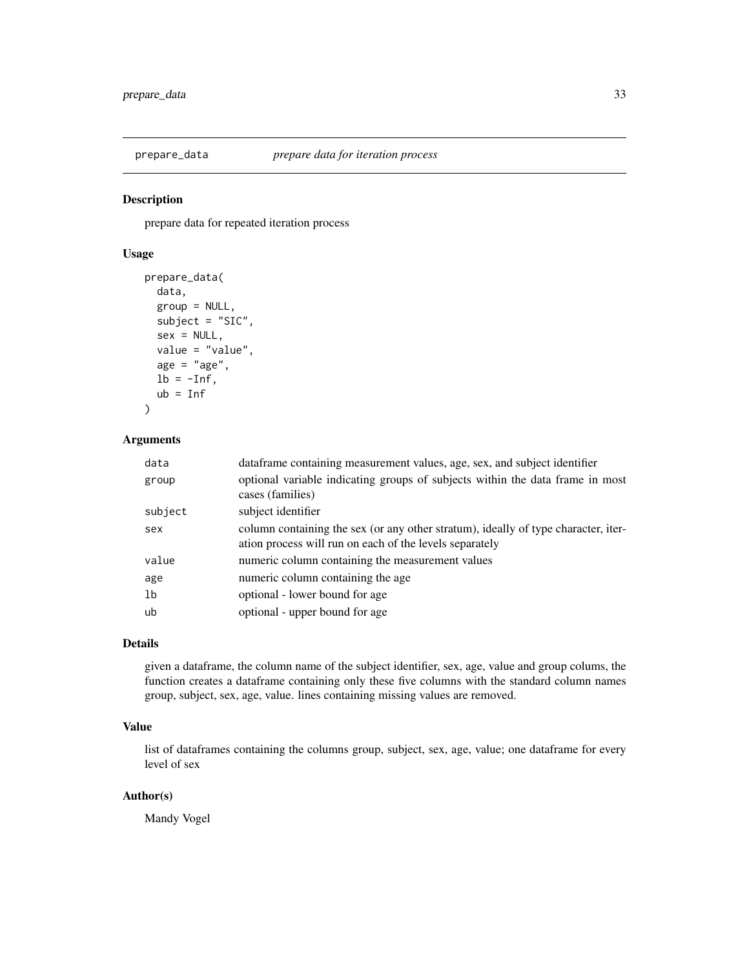<span id="page-32-0"></span>

prepare data for repeated iteration process

# Usage

```
prepare_data(
 data,
 group = NULL,
 subject = "SIC",
  sex = NULL,value = "value",
 age = "age",lb = -Inf,ub = Inf)
```
# Arguments

| data    | dataframe containing measurement values, age, sex, and subject identifier                                                                     |
|---------|-----------------------------------------------------------------------------------------------------------------------------------------------|
| group   | optional variable indicating groups of subjects within the data frame in most<br>cases (families)                                             |
| subject | subject identifier                                                                                                                            |
| sex     | column containing the sex (or any other stratum), ideally of type character, iter-<br>ation process will run on each of the levels separately |
| value   | numeric column containing the measurement values                                                                                              |
| age     | numeric column containing the age                                                                                                             |
| 1b      | optional - lower bound for age.                                                                                                               |
| ub      | optional - upper bound for age                                                                                                                |

# Details

given a dataframe, the column name of the subject identifier, sex, age, value and group colums, the function creates a dataframe containing only these five columns with the standard column names group, subject, sex, age, value. lines containing missing values are removed.

# Value

list of dataframes containing the columns group, subject, sex, age, value; one dataframe for every level of sex

# Author(s)

Mandy Vogel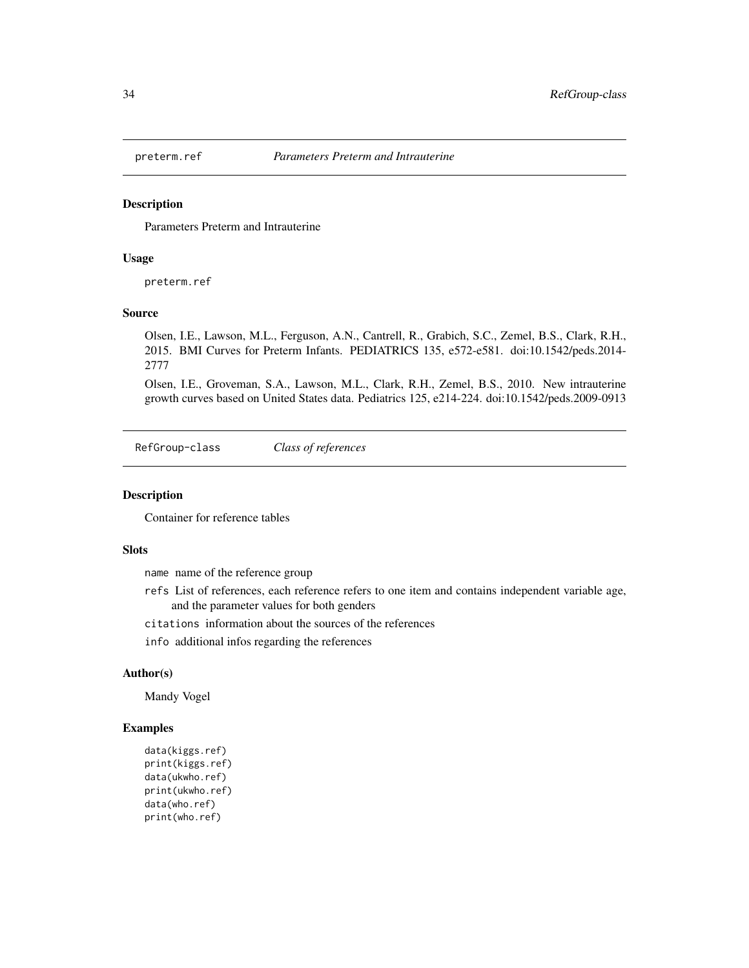<span id="page-33-0"></span>

Parameters Preterm and Intrauterine

#### Usage

preterm.ref

#### Source

Olsen, I.E., Lawson, M.L., Ferguson, A.N., Cantrell, R., Grabich, S.C., Zemel, B.S., Clark, R.H., 2015. BMI Curves for Preterm Infants. PEDIATRICS 135, e572-e581. doi:10.1542/peds.2014- 2777

Olsen, I.E., Groveman, S.A., Lawson, M.L., Clark, R.H., Zemel, B.S., 2010. New intrauterine growth curves based on United States data. Pediatrics 125, e214-224. doi:10.1542/peds.2009-0913

RefGroup-class *Class of references*

#### Description

Container for reference tables

# **Slots**

name name of the reference group

- refs List of references, each reference refers to one item and contains independent variable age, and the parameter values for both genders
- citations information about the sources of the references
- info additional infos regarding the references

# Author(s)

Mandy Vogel

#### Examples

```
data(kiggs.ref)
print(kiggs.ref)
data(ukwho.ref)
print(ukwho.ref)
data(who.ref)
print(who.ref)
```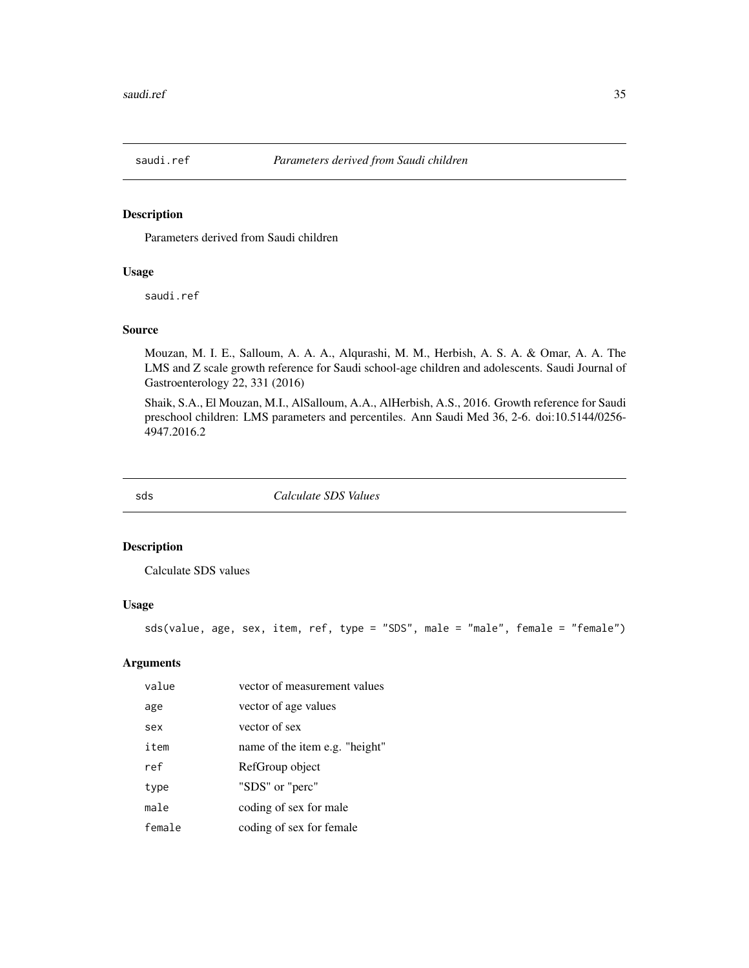<span id="page-34-0"></span>

Parameters derived from Saudi children

#### Usage

saudi.ref

# Source

Mouzan, M. I. E., Salloum, A. A. A., Alqurashi, M. M., Herbish, A. S. A. & Omar, A. A. The LMS and Z scale growth reference for Saudi school-age children and adolescents. Saudi Journal of Gastroenterology 22, 331 (2016)

Shaik, S.A., El Mouzan, M.I., AlSalloum, A.A., AlHerbish, A.S., 2016. Growth reference for Saudi preschool children: LMS parameters and percentiles. Ann Saudi Med 36, 2-6. doi:10.5144/0256- 4947.2016.2

<span id="page-34-1"></span>

sds *Calculate SDS Values*

# Description

Calculate SDS values

# Usage

sds(value, age, sex, item, ref, type = "SDS", male = "male", female = "female")

| value  | vector of measurement values   |
|--------|--------------------------------|
| age    | vector of age values           |
| sex    | vector of sex                  |
| item   | name of the item e.g. "height" |
| ref    | RefGroup object                |
| type   | "SDS" or "perc"                |
| male   | coding of sex for male         |
| female | coding of sex for female       |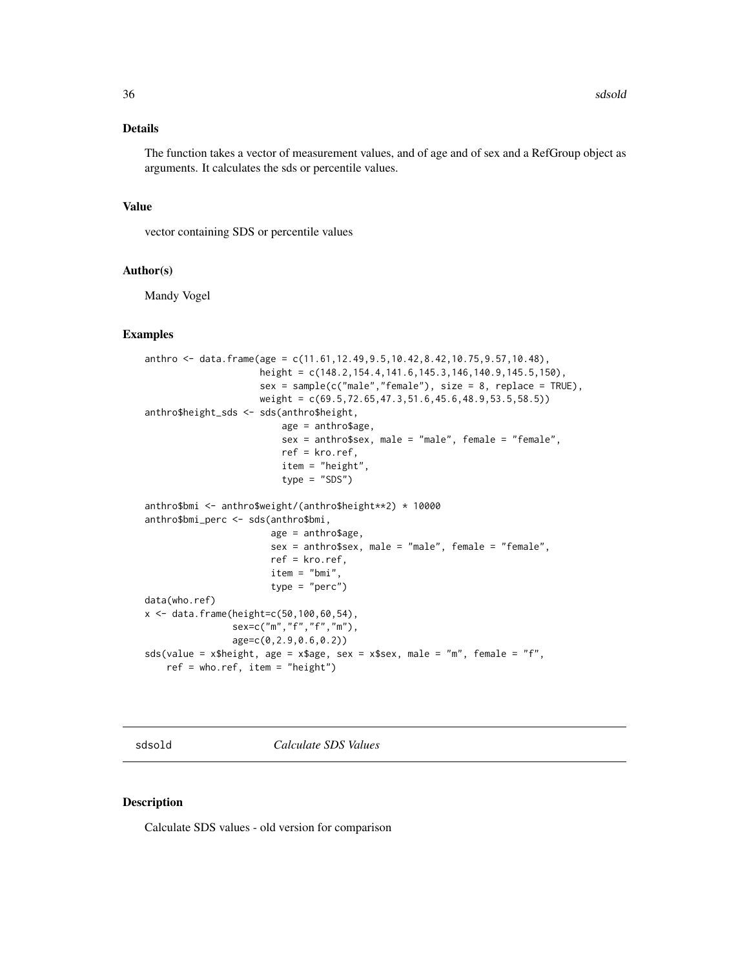# <span id="page-35-0"></span>Details

The function takes a vector of measurement values, and of age and of sex and a RefGroup object as arguments. It calculates the sds or percentile values.

#### Value

vector containing SDS or percentile values

#### Author(s)

Mandy Vogel

#### Examples

```
anthro <- data.frame(age = c(11.61,12.49,9.5,10.42,8.42,10.75,9.57,10.48),
                     height = c(148.2,154.4,141.6,145.3,146,140.9,145.5,150),
                     sex = sample(c("male","female"), size = 8, replace = TRUE),
                     weight = c(69.5,72.65,47.3,51.6,45.6,48.9,53.5,58.5))
anthro$height_sds <- sds(anthro$height,
                         age = anthro$age,
                         sex = anthro$sex, male = "male", female = "female",
                         ref = kro.ref,
                         item = "height",
                         type = "SDS")anthro$bmi <- anthro$weight/(anthro$height**2) * 10000
anthro$bmi_perc <- sds(anthro$bmi,
                       age = anthro$age,
                       sex = anthro$sex, male = "male", female = "female",
                       ref = kro.ref,
                       item = "bmi",
                       type = "perc")
data(who.ref)
x < - data.frame(height=c(50, 100, 60, 54),
                sex=c("m","f","f","m"),
                age=c(0,2.9,0.6,0.2))
sds(value = x$height, age = x$age, sex = x$sex, male = "m", female = "f",
   ref = who.ref, item = "height")
```
sdsold *Calculate SDS Values*

#### Description

Calculate SDS values - old version for comparison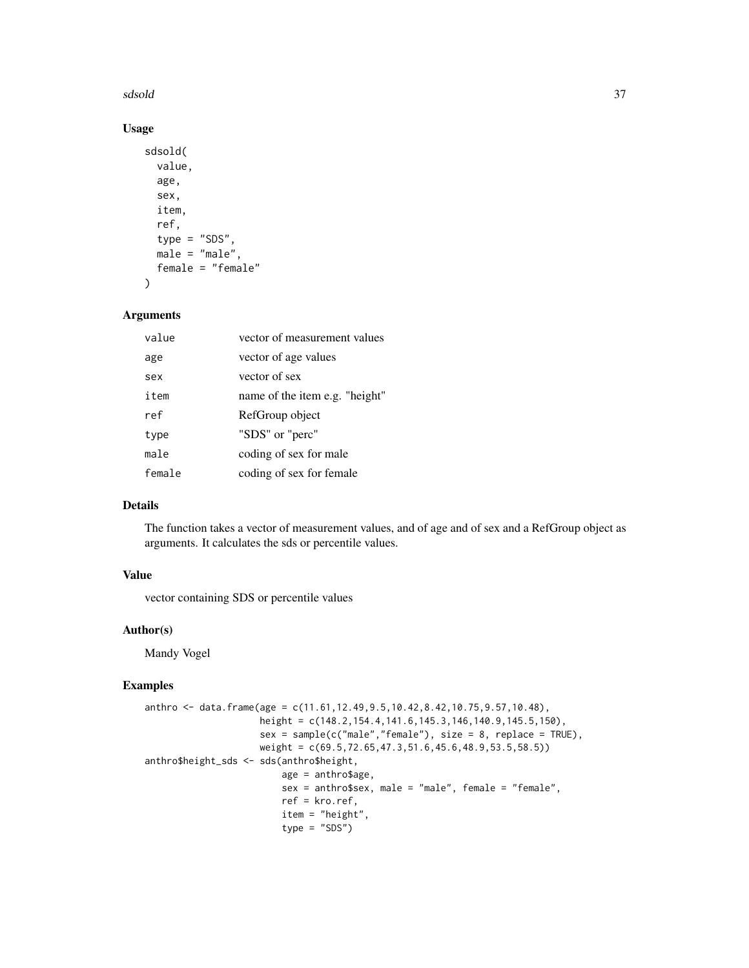#### sdsold 37

# Usage

```
sdsold(
 value,
  age,
  sex,
  item,
 ref,
  type = "SDS",male = "male",
 female = "female"
)
```
#### Arguments

| value  | vector of measurement values   |
|--------|--------------------------------|
| age    | vector of age values           |
| sex    | vector of sex                  |
| item   | name of the item e.g. "height" |
| ref    | RefGroup object                |
| type   | "SDS" or "perc"                |
| male   | coding of sex for male         |
| female | coding of sex for female       |
|        |                                |

# Details

The function takes a vector of measurement values, and of age and of sex and a RefGroup object as arguments. It calculates the sds or percentile values.

# Value

vector containing SDS or percentile values

#### Author(s)

Mandy Vogel

# Examples

```
anthro <- data.frame(age = c(11.61,12.49,9.5,10.42,8.42,10.75,9.57,10.48),
                     height = c(148.2,154.4,141.6,145.3,146,140.9,145.5,150),
                     sex = sample(c("male", "female"), size = 8, replace = TRUE),weight = c(69.5, 72.65, 47.3, 51.6, 45.6, 48.9, 53.5, 58.5)anthro$height_sds <- sds(anthro$height,
                         age = anthro$age,
                         sex = anthro$sex, male = "male", female = "female",
                         ref = kro.ref,
                         item = "height",
                         type = "SDS")
```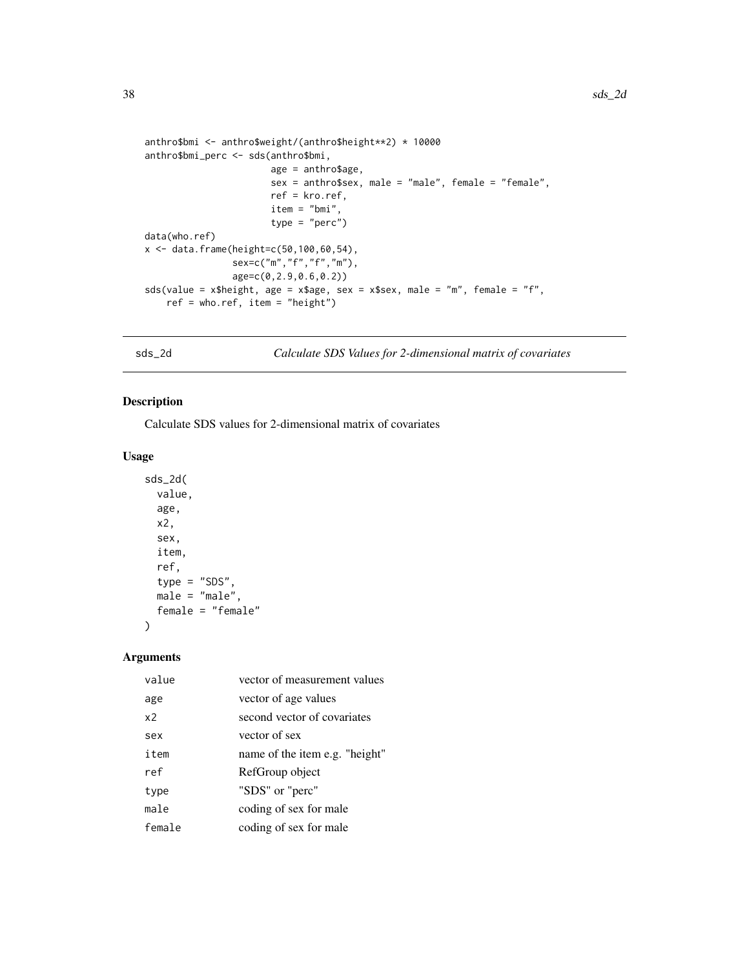```
anthro$bmi <- anthro$weight/(anthro$height**2) * 10000
anthro$bmi_perc <- sds(anthro$bmi,
                       age = anthro$age,
                       sex = anthro$sex, male = "male", female = "female",ref = kro.ref,
                       item = "bmi",
                       type = "perc")
data(who.ref)
x <- data.frame(height=c(50,100,60,54),
                sex=c("m","f","f","m"),
                age=c(0,2.9,0.6,0.2))
sds(value = x$height, age = x$age, sex = x$sex, male = "m", female = "f",
    ref = who.ref, item = "height")
```
<span id="page-37-1"></span>sds\_2d *Calculate SDS Values for 2-dimensional matrix of covariates*

# Description

Calculate SDS values for 2-dimensional matrix of covariates

# Usage

```
sds_2d(
 value,
  age,
 x2,
  sex,
  item,
  ref,
  type = "SDS",
 male = "male",
  female = "female"
)
```

| value          | vector of measurement values   |
|----------------|--------------------------------|
| age            | vector of age values           |
| x <sub>2</sub> | second vector of covariates    |
| sex            | vector of sex                  |
| item           | name of the item e.g. "height" |
| ref            | RefGroup object                |
| type           | "SDS" or "perc"                |
| male           | coding of sex for male         |
| female         | coding of sex for male         |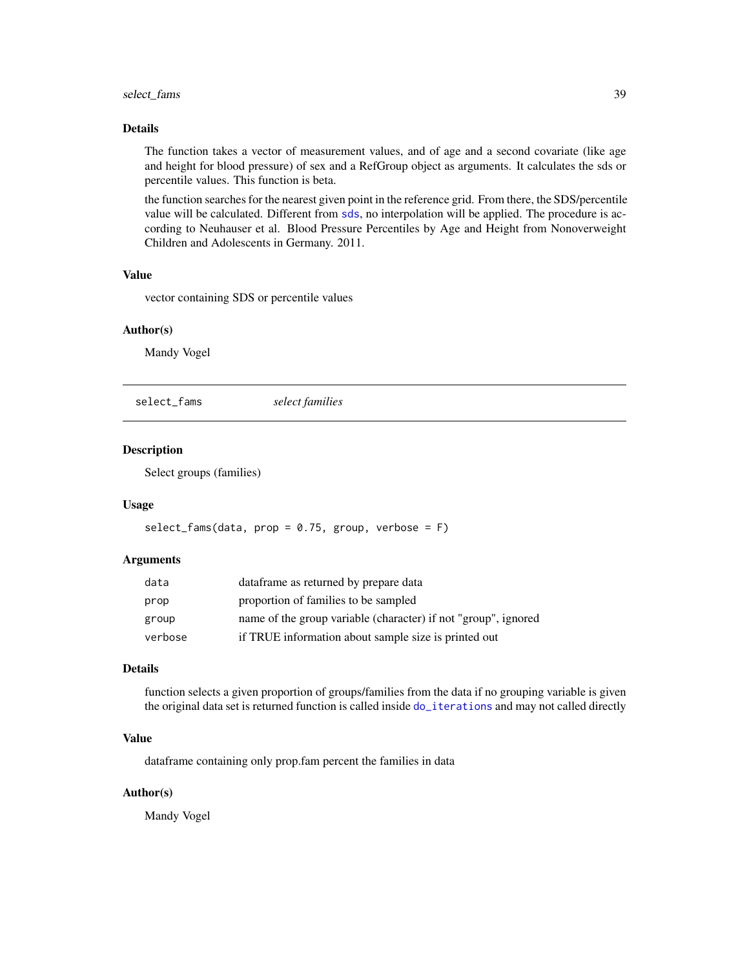# <span id="page-38-0"></span>select\_fams 39

# Details

The function takes a vector of measurement values, and of age and a second covariate (like age and height for blood pressure) of sex and a RefGroup object as arguments. It calculates the sds or percentile values. This function is beta.

the function searches for the nearest given point in the reference grid. From there, the SDS/percentile value will be calculated. Different from [sds](#page-34-1), no interpolation will be applied. The procedure is according to Neuhauser et al. Blood Pressure Percentiles by Age and Height from Nonoverweight Children and Adolescents in Germany. 2011.

# Value

vector containing SDS or percentile values

# Author(s)

Mandy Vogel

select\_fams *select families*

# Description

Select groups (families)

#### Usage

```
select_fams(data, prop = 0.75, group, verbose = F)
```
#### Arguments

| data    | data frame as returned by prepare data                         |
|---------|----------------------------------------------------------------|
| prop    | proportion of families to be sampled                           |
| group   | name of the group variable (character) if not "group", ignored |
| verbose | if TRUE information about sample size is printed out           |

# Details

function selects a given proportion of groups/families from the data if no grouping variable is given the original data set is returned function is called inside [do\\_iterations](#page-8-1) and may not called directly

#### Value

dataframe containing only prop.fam percent the families in data

#### Author(s)

Mandy Vogel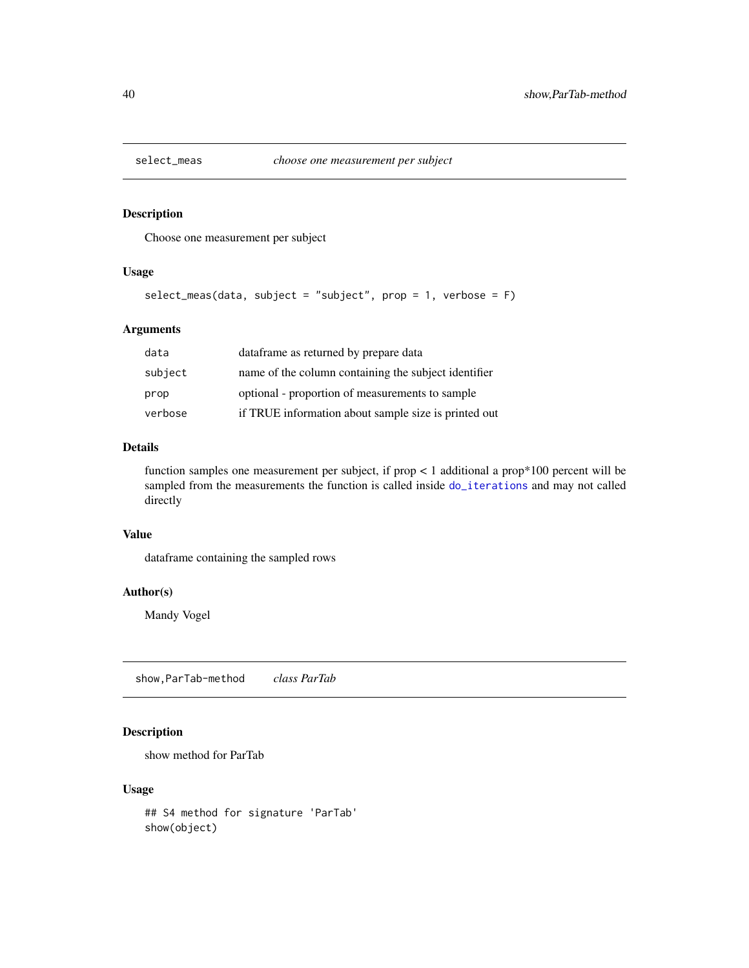<span id="page-39-0"></span>

Choose one measurement per subject

# Usage

```
select\_meas(data, subject = "subject", prop = 1, verbose = F)
```
# Arguments

| data    | data frame as returned by prepare data               |
|---------|------------------------------------------------------|
| subject | name of the column containing the subject identifier |
| prop    | optional - proportion of measurements to sample      |
| verbose | if TRUE information about sample size is printed out |

# Details

function samples one measurement per subject, if prop < 1 additional a prop\*100 percent will be sampled from the measurements the function is called inside [do\\_iterations](#page-8-1) and may not called directly

# Value

dataframe containing the sampled rows

# Author(s)

Mandy Vogel

show,ParTab-method *class ParTab*

# Description

show method for ParTab

#### Usage

## S4 method for signature 'ParTab' show(object)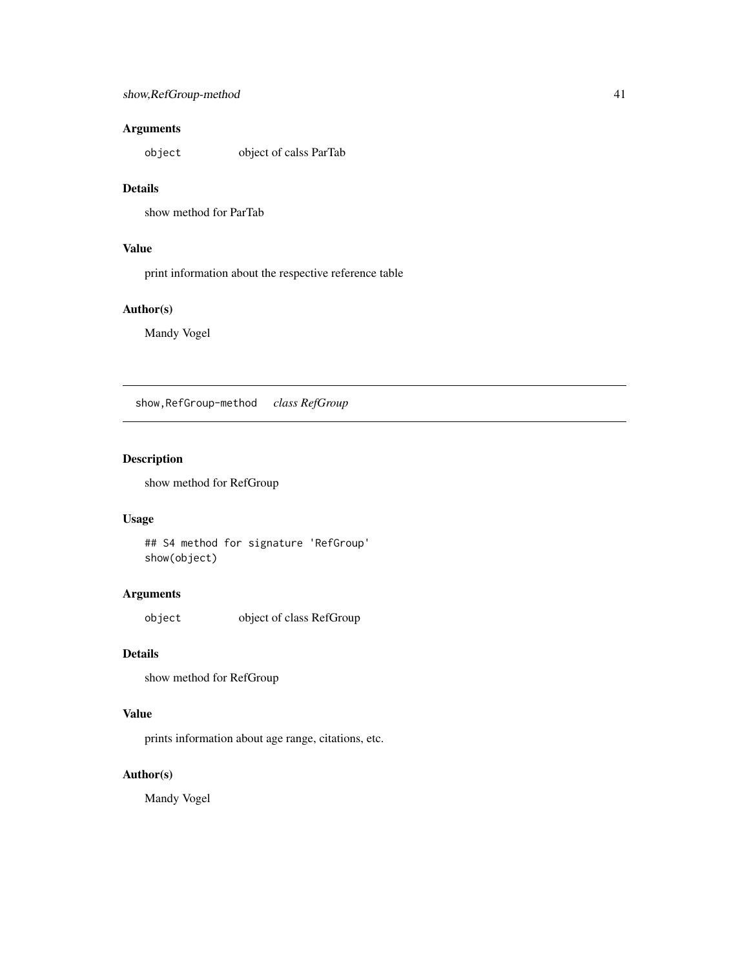# <span id="page-40-0"></span>Arguments

object object of calss ParTab

# Details

show method for ParTab

# Value

print information about the respective reference table

# Author(s)

Mandy Vogel

show,RefGroup-method *class RefGroup*

# Description

show method for RefGroup

# Usage

## S4 method for signature 'RefGroup' show(object)

# Arguments

object object of class RefGroup

# Details

show method for RefGroup

# Value

prints information about age range, citations, etc.

# Author(s)

Mandy Vogel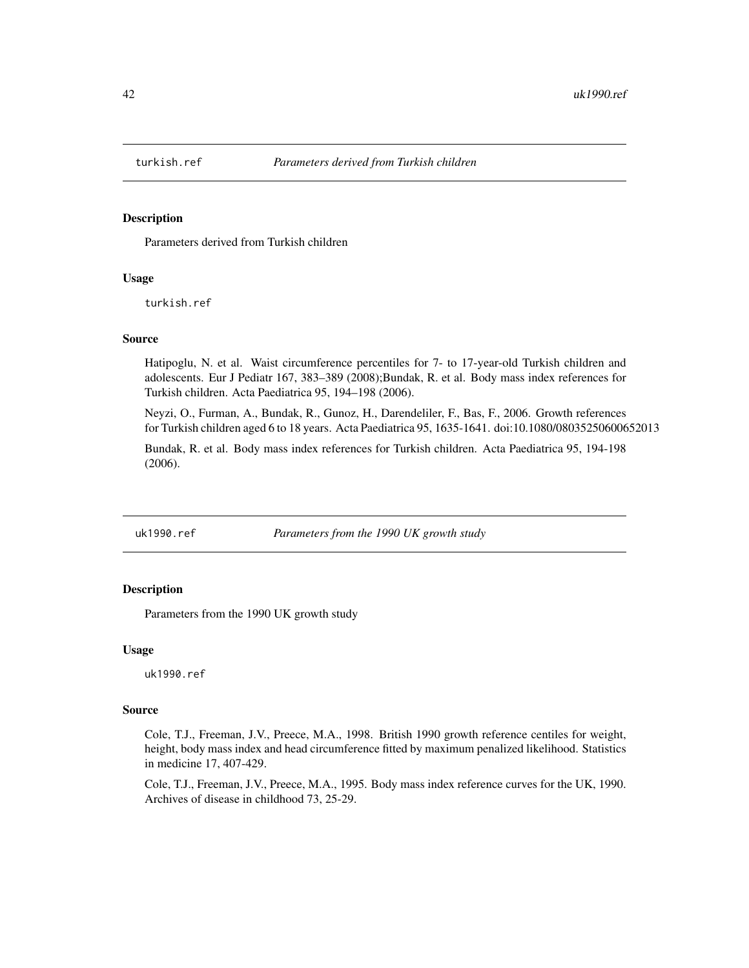<span id="page-41-0"></span>

Parameters derived from Turkish children

#### Usage

turkish.ref

#### Source

Hatipoglu, N. et al. Waist circumference percentiles for 7- to 17-year-old Turkish children and adolescents. Eur J Pediatr 167, 383–389 (2008);Bundak, R. et al. Body mass index references for Turkish children. Acta Paediatrica 95, 194–198 (2006).

Neyzi, O., Furman, A., Bundak, R., Gunoz, H., Darendeliler, F., Bas, F., 2006. Growth references for Turkish children aged 6 to 18 years. Acta Paediatrica 95, 1635-1641. doi:10.1080/08035250600652013

Bundak, R. et al. Body mass index references for Turkish children. Acta Paediatrica 95, 194-198 (2006).

uk1990.ref *Parameters from the 1990 UK growth study*

#### Description

Parameters from the 1990 UK growth study

#### Usage

uk1990.ref

#### Source

Cole, T.J., Freeman, J.V., Preece, M.A., 1998. British 1990 growth reference centiles for weight, height, body mass index and head circumference fitted by maximum penalized likelihood. Statistics in medicine 17, 407-429.

Cole, T.J., Freeman, J.V., Preece, M.A., 1995. Body mass index reference curves for the UK, 1990. Archives of disease in childhood 73, 25-29.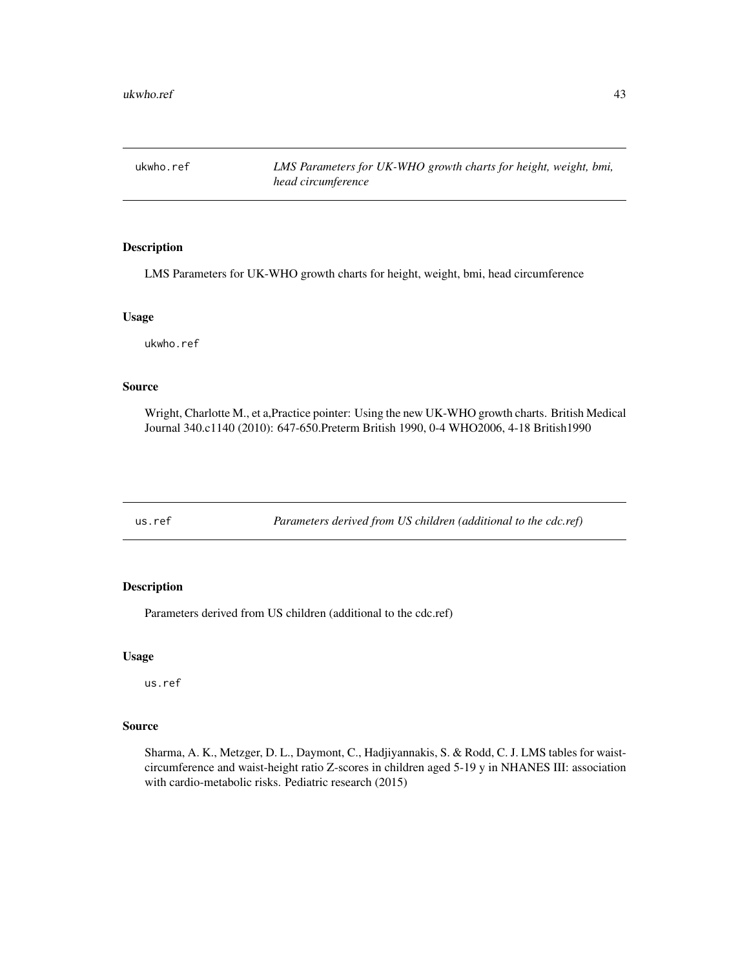<span id="page-42-0"></span>ukwho.ref *LMS Parameters for UK-WHO growth charts for height, weight, bmi, head circumference*

# Description

LMS Parameters for UK-WHO growth charts for height, weight, bmi, head circumference

# Usage

ukwho.ref

#### Source

Wright, Charlotte M., et a,Practice pointer: Using the new UK-WHO growth charts. British Medical Journal 340.c1140 (2010): 647-650.Preterm British 1990, 0-4 WHO2006, 4-18 British1990

us.ref *Parameters derived from US children (additional to the cdc.ref)*

# Description

Parameters derived from US children (additional to the cdc.ref)

#### Usage

us.ref

# Source

Sharma, A. K., Metzger, D. L., Daymont, C., Hadjiyannakis, S. & Rodd, C. J. LMS tables for waistcircumference and waist-height ratio Z-scores in children aged 5-19 y in NHANES III: association with cardio-metabolic risks. Pediatric research (2015)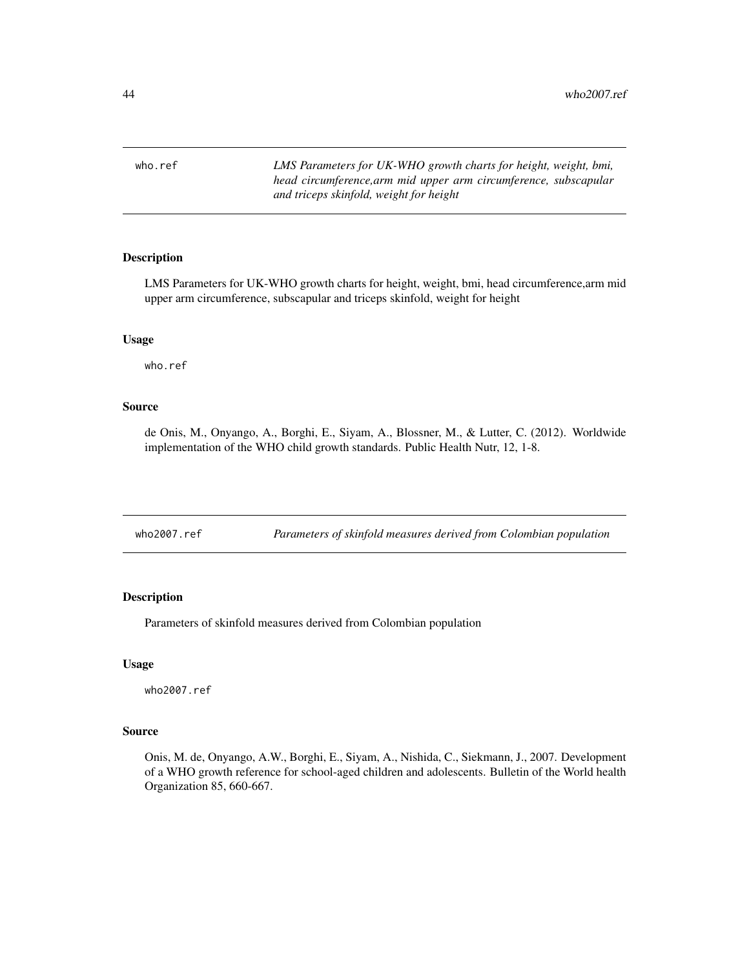<span id="page-43-0"></span>who.ref *LMS Parameters for UK-WHO growth charts for height, weight, bmi, head circumference,arm mid upper arm circumference, subscapular and triceps skinfold, weight for height*

#### Description

LMS Parameters for UK-WHO growth charts for height, weight, bmi, head circumference,arm mid upper arm circumference, subscapular and triceps skinfold, weight for height

#### Usage

who.ref

#### Source

de Onis, M., Onyango, A., Borghi, E., Siyam, A., Blossner, M., & Lutter, C. (2012). Worldwide implementation of the WHO child growth standards. Public Health Nutr, 12, 1-8.

# Description

Parameters of skinfold measures derived from Colombian population

#### Usage

who2007.ref

#### Source

Onis, M. de, Onyango, A.W., Borghi, E., Siyam, A., Nishida, C., Siekmann, J., 2007. Development of a WHO growth reference for school-aged children and adolescents. Bulletin of the World health Organization 85, 660-667.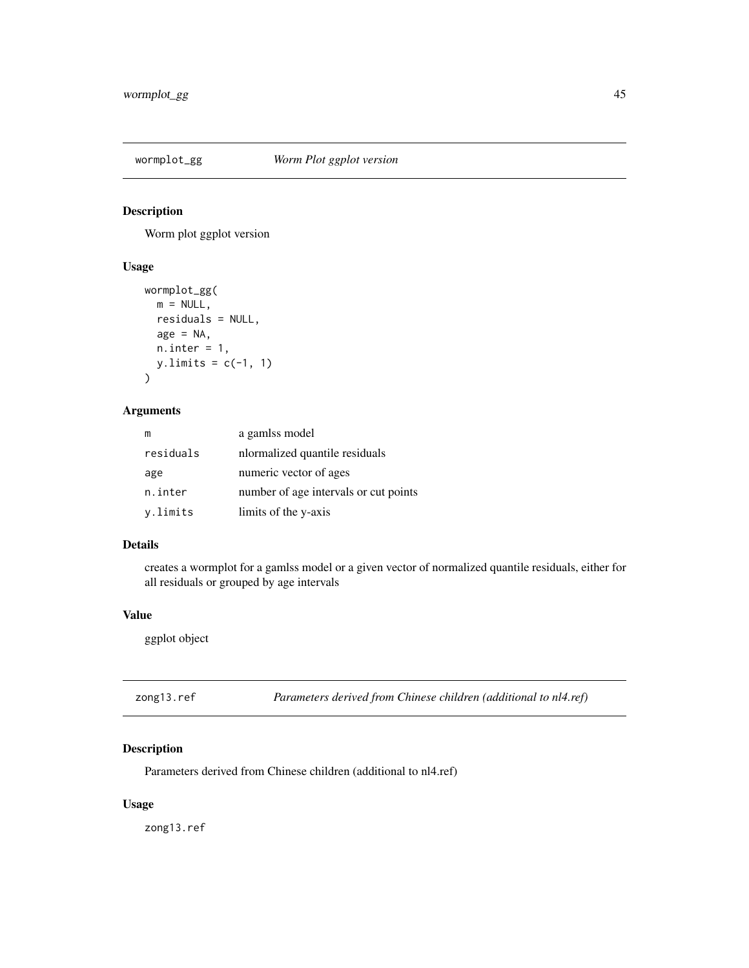<span id="page-44-0"></span>

Worm plot ggplot version

# Usage

```
wormplot_gg(
  m = NULL,residuals = NULL,
  age = NA,n.inter = 1,
  y.limits = c(-1, 1)\mathcal{L}
```
# Arguments

| m         | a gamlss model                        |  |
|-----------|---------------------------------------|--|
| residuals | normalized quantile residuals         |  |
| age       | numeric vector of ages                |  |
| n.inter   | number of age intervals or cut points |  |
| y.limits  | limits of the y-axis                  |  |

# Details

creates a wormplot for a gamlss model or a given vector of normalized quantile residuals, either for all residuals or grouped by age intervals

# Value

ggplot object

| zong13.ref | Parameters derived from Chinese children (additional to nl4.ref) |  |  |
|------------|------------------------------------------------------------------|--|--|
|------------|------------------------------------------------------------------|--|--|

# Description

Parameters derived from Chinese children (additional to nl4.ref)

# Usage

zong13.ref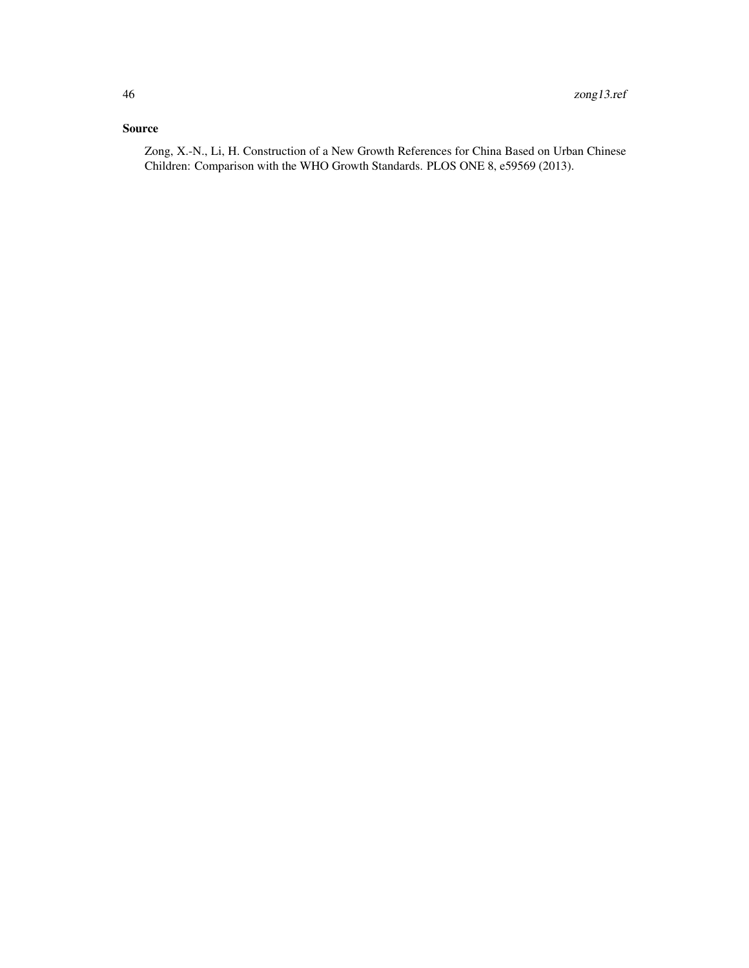# Source

Zong, X.-N., Li, H. Construction of a New Growth References for China Based on Urban Chinese Children: Comparison with the WHO Growth Standards. PLOS ONE 8, e59569 (2013).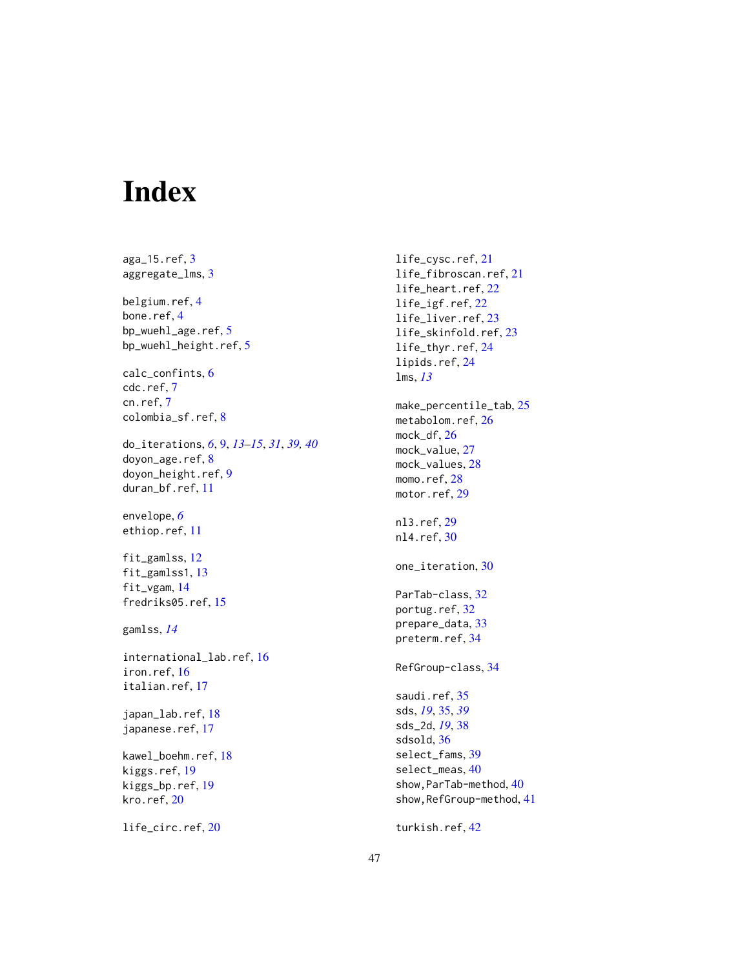# <span id="page-46-0"></span>Index

aga\_15.ref, [3](#page-2-0) aggregate\_lms, [3](#page-2-0) belgium.ref, [4](#page-3-0) bone.ref, [4](#page-3-0) bp\_wuehl\_age.ref, [5](#page-4-0) bp\_wuehl\_height.ref, [5](#page-4-0) calc\_confints, [6](#page-5-0) cdc.ref, [7](#page-6-0) cn.ref, [7](#page-6-0) colombia\_sf.ref, [8](#page-7-0) do\_iterations, *[6](#page-5-0)*, [9,](#page-8-0) *[13–](#page-12-0)[15](#page-14-0)*, *[31](#page-30-0)*, *[39,](#page-38-0) [40](#page-39-0)* doyon\_age.ref, [8](#page-7-0) doyon\_height.ref, [9](#page-8-0) duran\_bf.ref, [11](#page-10-0) envelope, *[6](#page-5-0)* ethiop.ref, [11](#page-10-0) fit\_gamlss, [12](#page-11-0) fit\_gamlss1, [13](#page-12-0) fit\_vgam, [14](#page-13-0) fredriks05.ref, [15](#page-14-0) gamlss, *[14](#page-13-0)* international\_lab.ref, [16](#page-15-0) iron.ref, [16](#page-15-0) italian.ref, [17](#page-16-0) japan\_lab.ref, [18](#page-17-0) japanese.ref, [17](#page-16-0) kawel\_boehm.ref, [18](#page-17-0) kiggs.ref, [19](#page-18-0) kiggs\_bp.ref, [19](#page-18-0) kro.ref, [20](#page-19-0)

life\_circ.ref, [20](#page-19-0)

life\_cysc.ref, [21](#page-20-0) life\_fibroscan.ref, [21](#page-20-0) life\_heart.ref, [22](#page-21-0) life\_igf.ref, [22](#page-21-0) life\_liver.ref, [23](#page-22-0) life\_skinfold.ref, [23](#page-22-0) life\_thyr.ref, [24](#page-23-0) lipids.ref, [24](#page-23-0) lms, *[13](#page-12-0)* make\_percentile\_tab, [25](#page-24-0) metabolom.ref, [26](#page-25-0) mock\_df, [26](#page-25-0) mock\_value, [27](#page-26-0) mock\_values, [28](#page-27-0) momo.ref, [28](#page-27-0) motor.ref, [29](#page-28-0) nl3.ref, [29](#page-28-0) nl4.ref, [30](#page-29-0) one\_iteration, [30](#page-29-0) ParTab-class, [32](#page-31-0) portug.ref, [32](#page-31-0) prepare\_data, [33](#page-32-0) preterm.ref, [34](#page-33-0) RefGroup-class, [34](#page-33-0) saudi.ref, [35](#page-34-0) sds, *[19](#page-18-0)*, [35,](#page-34-0) *[39](#page-38-0)* sds\_2d, *[19](#page-18-0)*, [38](#page-37-0) sdsold, [36](#page-35-0) select\_fams, [39](#page-38-0) select\_meas, [40](#page-39-0) show, ParTab-method, [40](#page-39-0) show, RefGroup-method, [41](#page-40-0)

turkish.ref, [42](#page-41-0)